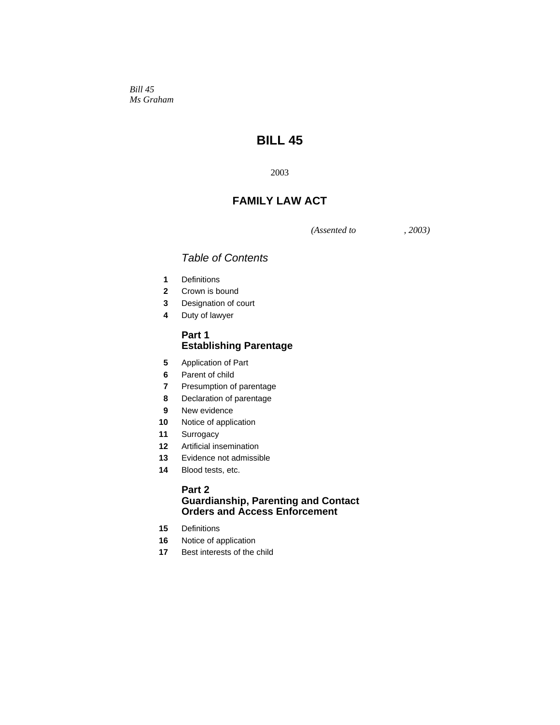*Bill 45 Ms Graham* 

# **BILL 45**

# **FAMILY LAW ACT**

*(Assented to , 2003)* 

# *Table of Contents*

- Definitions
- Crown is bound
- Designation of court
- Duty of lawyer

## **Part 1 Establishing Parentage**

- Application of Part
- Parent of child
- Presumption of parentage
- Declaration of parentage
- New evidence
- Notice of application
- Surrogacy
- Artificial insemination
- Evidence not admissible
- Blood tests, etc.

## **Part 2**

## **Guardianship, Parenting and Contact Orders and Access Enforcement**

- Definitions
- Notice of application
- Best interests of the child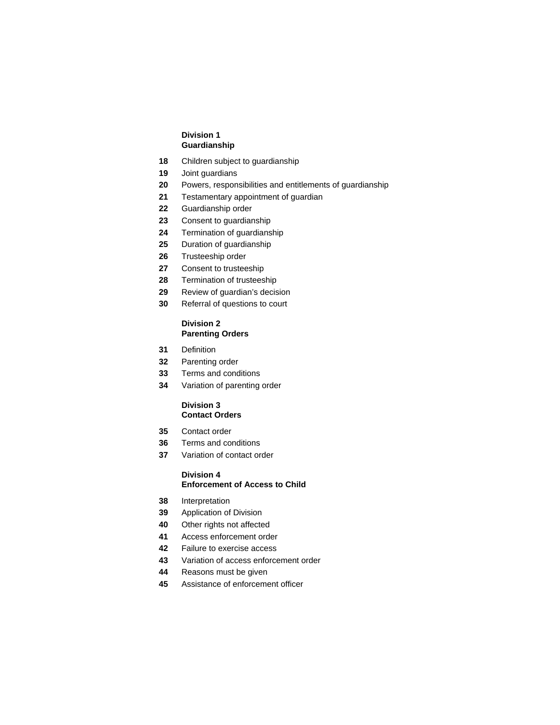### **Division 1 Guardianship**

- Children subject to guardianship
- Joint guardians
- Powers, responsibilities and entitlements of guardianship
- Testamentary appointment of guardian
- Guardianship order
- Consent to guardianship
- Termination of guardianship
- Duration of guardianship
- Trusteeship order
- Consent to trusteeship
- Termination of trusteeship
- Review of guardian's decision
- Referral of questions to court

### **Division 2 Parenting Orders**

- Definition
- Parenting order
- Terms and conditions
- Variation of parenting order

## **Division 3 Contact Orders**

- Contact order
- Terms and conditions
- Variation of contact order

## **Division 4**

# **Enforcement of Access to Child**

- Interpretation
- Application of Division
- Other rights not affected
- Access enforcement order
- Failure to exercise access
- Variation of access enforcement order
- Reasons must be given
- Assistance of enforcement officer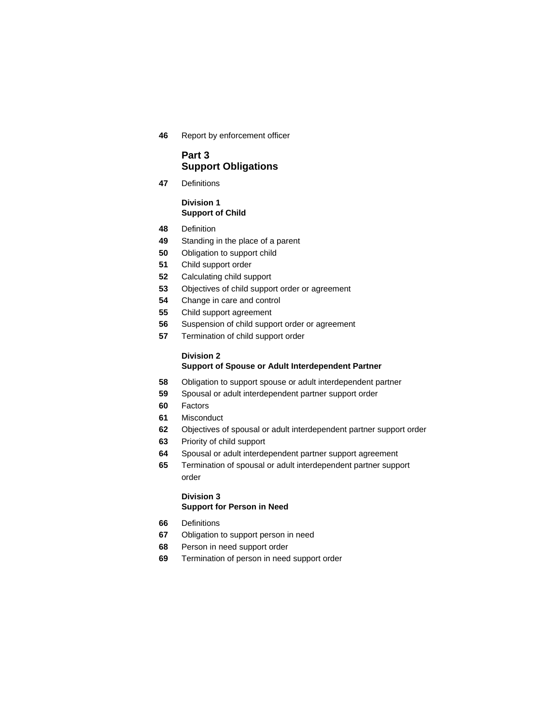Report by enforcement officer

## **Part 3 Support Obligations**

Definitions

## **Division 1 Support of Child**

- Definition
- Standing in the place of a parent
- Obligation to support child
- Child support order
- Calculating child support
- Objectives of child support order or agreement
- Change in care and control
- Child support agreement
- Suspension of child support order or agreement
- Termination of child support order

#### **Division 2 Support of Spouse or Adult Interdependent Partner**

- Obligation to support spouse or adult interdependent partner
- Spousal or adult interdependent partner support order
- Factors
- Misconduct
- Objectives of spousal or adult interdependent partner support order
- Priority of child support
- Spousal or adult interdependent partner support agreement
- Termination of spousal or adult interdependent partner support order

## **Division 3 Support for Person in Need**

- Definitions
- Obligation to support person in need
- Person in need support order
- Termination of person in need support order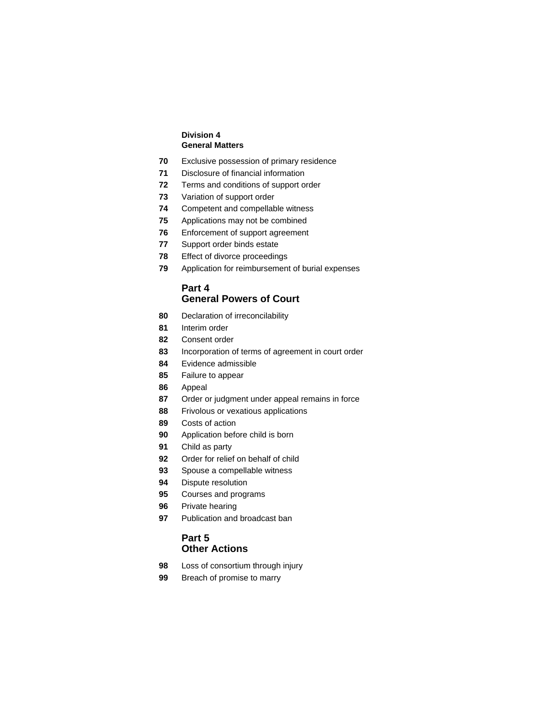## **Division 4 General Matters**

- Exclusive possession of primary residence
- Disclosure of financial information
- Terms and conditions of support order
- Variation of support order
- Competent and compellable witness
- Applications may not be combined
- Enforcement of support agreement
- Support order binds estate
- Effect of divorce proceedings
- Application for reimbursement of burial expenses

## **Part 4 General Powers of Court**

- Declaration of irreconcilability
- Interim order
- Consent order
- Incorporation of terms of agreement in court order
- Evidence admissible
- Failure to appear
- Appeal
- Order or judgment under appeal remains in force
- Frivolous or vexatious applications
- Costs of action
- Application before child is born
- Child as party
- Order for relief on behalf of child
- Spouse a compellable witness
- Dispute resolution
- Courses and programs
- Private hearing
- Publication and broadcast ban

## **Part 5 Other Actions**

- Loss of consortium through injury
- Breach of promise to marry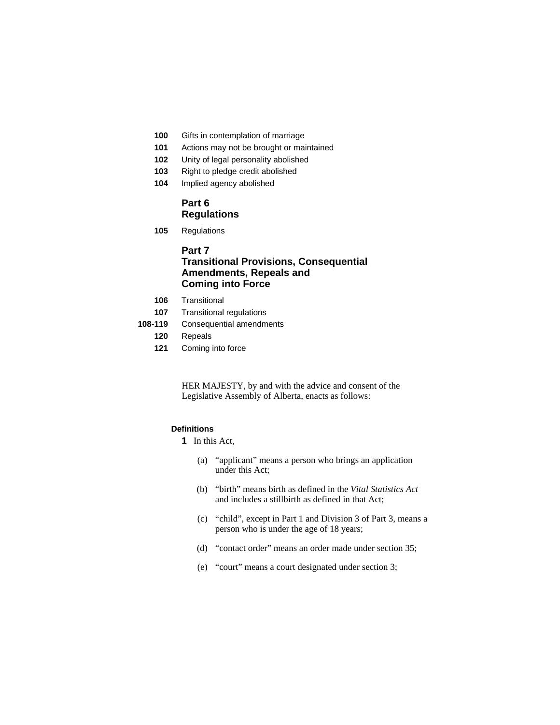- **100** Gifts in contemplation of marriage
- **101** Actions may not be brought or maintained
- **102** Unity of legal personality abolished
- **103** Right to pledge credit abolished
- **104** Implied agency abolished

## **Part 6 Regulations**

**105** Regulations

## **Part 7 Transitional Provisions, Consequential Amendments, Repeals and Coming into Force**

- **106** Transitional
- **107** Transitional regulations
- **108-119** Consequential amendments
	- **120** Repeals
	- **121** Coming into force

HER MAJESTY, by and with the advice and consent of the Legislative Assembly of Alberta, enacts as follows:

## **Definitions**

- **1** In this Act,
	- (a) "applicant" means a person who brings an application under this Act;
	- (b) "birth" means birth as defined in the *Vital Statistics Act*  and includes a stillbirth as defined in that Act;
	- (c) "child", except in Part 1 and Division 3 of Part 3, means a person who is under the age of 18 years;
	- (d) "contact order" means an order made under section 35;
	- (e) "court" means a court designated under section 3;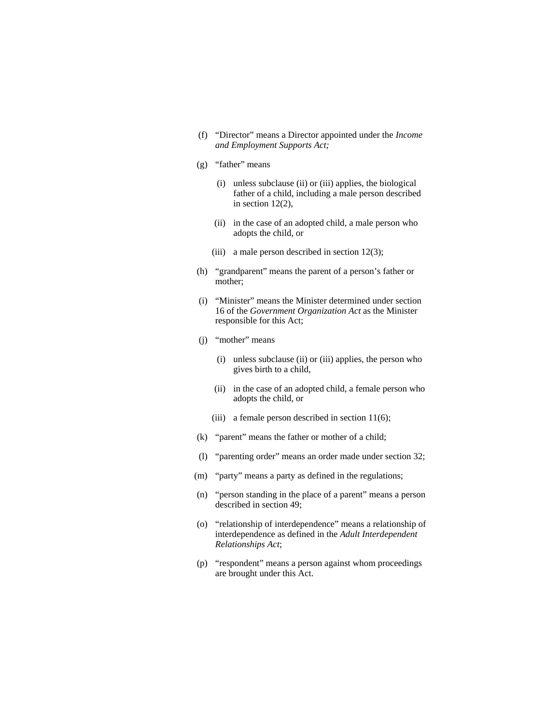- (f) "Director" means a Director appointed under the *Income and Employment Supports Act;*
- (g) "father" means
	- (i) unless subclause (ii) or (iii) applies, the biological father of a child, including a male person described in section 12(2),
	- (ii) in the case of an adopted child, a male person who adopts the child, or
	- (iii) a male person described in section  $12(3)$ ;
- (h) "grandparent" means the parent of a person's father or mother;
- (i) "Minister" means the Minister determined under section 16 of the *Government Organization Act* as the Minister responsible for this Act;
- (j) "mother" means
	- (i) unless subclause (ii) or (iii) applies, the person who gives birth to a child,
	- (ii) in the case of an adopted child, a female person who adopts the child, or
	- (iii) a female person described in section  $11(6)$ ;
- (k) "parent" means the father or mother of a child;
- (l) "parenting order" means an order made under section 32;
- (m) "party" means a party as defined in the regulations;
- (n) "person standing in the place of a parent" means a person described in section 49;
- (o) "relationship of interdependence" means a relationship of interdependence as defined in the *Adult Interdependent Relationships Act*;
- (p) "respondent" means a person against whom proceedings are brought under this Act.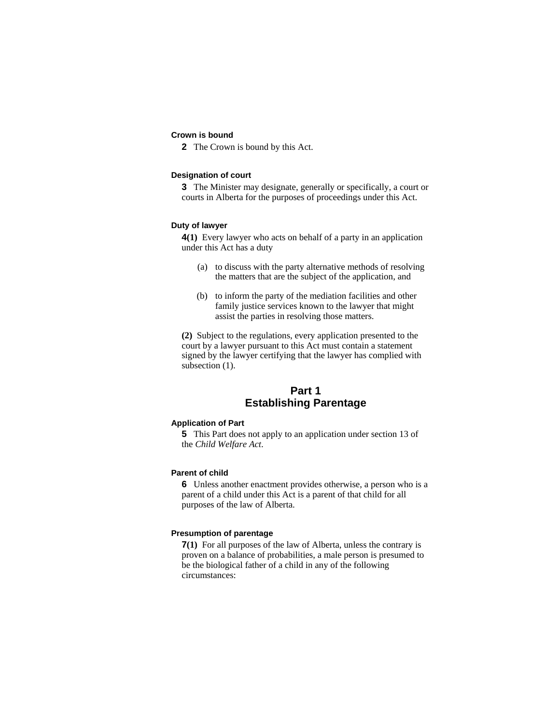#### **Crown is bound**

**2** The Crown is bound by this Act.

#### **Designation of court**

**3** The Minister may designate, generally or specifically, a court or courts in Alberta for the purposes of proceedings under this Act.

## **Duty of lawyer**

**4(1)** Every lawyer who acts on behalf of a party in an application under this Act has a duty

- (a) to discuss with the party alternative methods of resolving the matters that are the subject of the application, and
- (b) to inform the party of the mediation facilities and other family justice services known to the lawyer that might assist the parties in resolving those matters.

**(2)** Subject to the regulations, every application presented to the court by a lawyer pursuant to this Act must contain a statement signed by the lawyer certifying that the lawyer has complied with subsection  $(1)$ .

## **Part 1 Establishing Parentage**

#### **Application of Part**

**5** This Part does not apply to an application under section 13 of the *Child Welfare Act*.

## **Parent of child**

**6** Unless another enactment provides otherwise, a person who is a parent of a child under this Act is a parent of that child for all purposes of the law of Alberta.

#### **Presumption of parentage**

**7(1)** For all purposes of the law of Alberta, unless the contrary is proven on a balance of probabilities, a male person is presumed to be the biological father of a child in any of the following circumstances: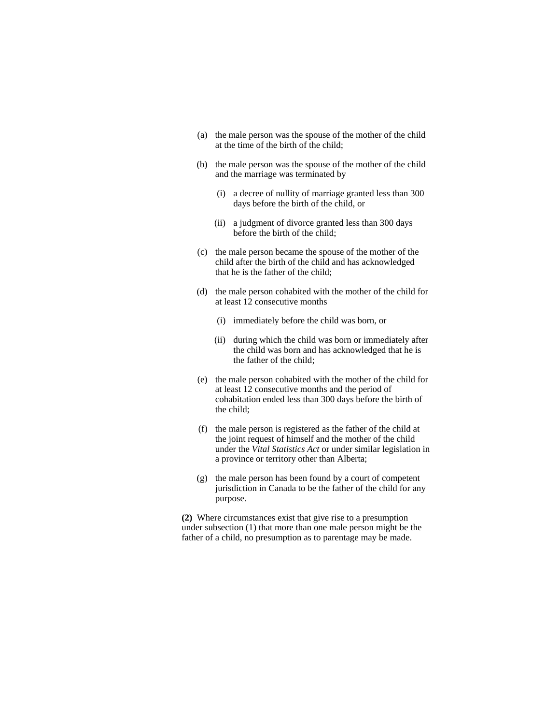- (a) the male person was the spouse of the mother of the child at the time of the birth of the child;
- (b) the male person was the spouse of the mother of the child and the marriage was terminated by
	- (i) a decree of nullity of marriage granted less than 300 days before the birth of the child, or
	- (ii) a judgment of divorce granted less than 300 days before the birth of the child;
- (c) the male person became the spouse of the mother of the child after the birth of the child and has acknowledged that he is the father of the child;
- (d) the male person cohabited with the mother of the child for at least 12 consecutive months
	- (i) immediately before the child was born, or
	- (ii) during which the child was born or immediately after the child was born and has acknowledged that he is the father of the child;
- (e) the male person cohabited with the mother of the child for at least 12 consecutive months and the period of cohabitation ended less than 300 days before the birth of the child;
- (f) the male person is registered as the father of the child at the joint request of himself and the mother of the child under the *Vital Statistics Act* or under similar legislation in a province or territory other than Alberta;
- (g) the male person has been found by a court of competent jurisdiction in Canada to be the father of the child for any purpose.

**(2)** Where circumstances exist that give rise to a presumption under subsection (1) that more than one male person might be the father of a child, no presumption as to parentage may be made.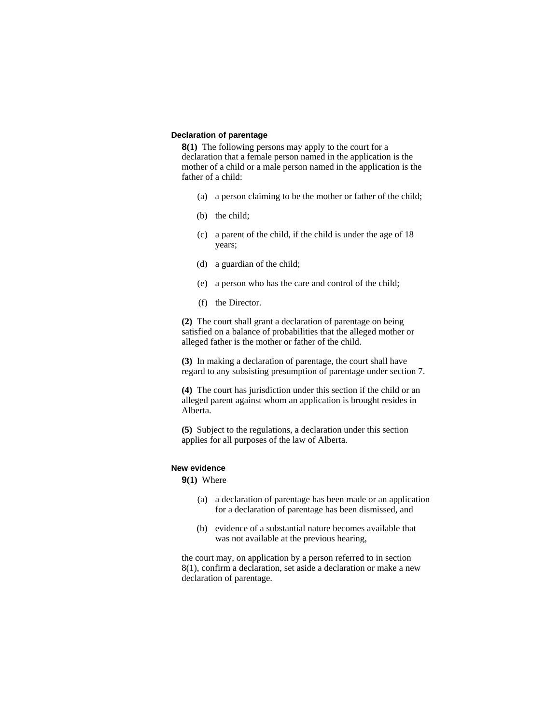#### **Declaration of parentage**

**8(1)** The following persons may apply to the court for a declaration that a female person named in the application is the mother of a child or a male person named in the application is the father of a child:

- (a) a person claiming to be the mother or father of the child;
- (b) the child;
- (c) a parent of the child, if the child is under the age of 18 years;
- (d) a guardian of the child;
- (e) a person who has the care and control of the child;
- (f) the Director.

**(2)** The court shall grant a declaration of parentage on being satisfied on a balance of probabilities that the alleged mother or alleged father is the mother or father of the child.

**(3)** In making a declaration of parentage, the court shall have regard to any subsisting presumption of parentage under section 7.

**(4)** The court has jurisdiction under this section if the child or an alleged parent against whom an application is brought resides in Alberta.

**(5)** Subject to the regulations, a declaration under this section applies for all purposes of the law of Alberta.

## **New evidence**

**9(1)** Where

- (a) a declaration of parentage has been made or an application for a declaration of parentage has been dismissed, and
- (b) evidence of a substantial nature becomes available that was not available at the previous hearing,

the court may, on application by a person referred to in section 8(1), confirm a declaration, set aside a declaration or make a new declaration of parentage.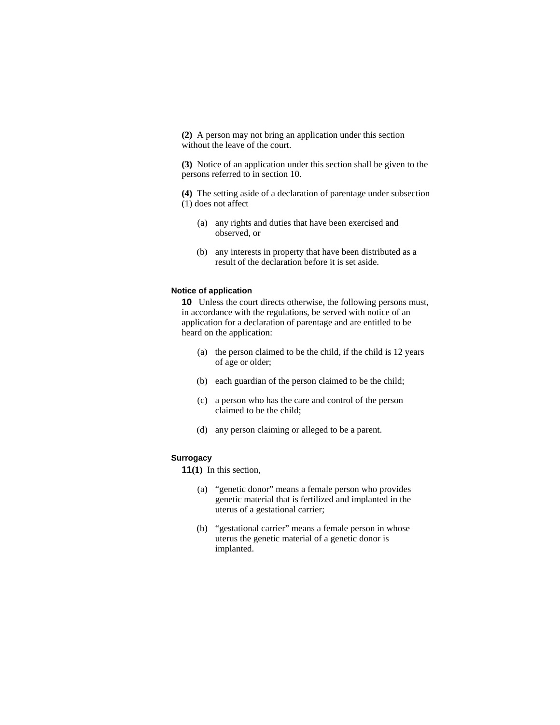**(2)** A person may not bring an application under this section without the leave of the court.

**(3)** Notice of an application under this section shall be given to the persons referred to in section 10.

**(4)** The setting aside of a declaration of parentage under subsection (1) does not affect

- (a) any rights and duties that have been exercised and observed, or
- (b) any interests in property that have been distributed as a result of the declaration before it is set aside.

### **Notice of application**

**10** Unless the court directs otherwise, the following persons must, in accordance with the regulations, be served with notice of an application for a declaration of parentage and are entitled to be heard on the application:

- (a) the person claimed to be the child, if the child is 12 years of age or older;
- (b) each guardian of the person claimed to be the child;
- (c) a person who has the care and control of the person claimed to be the child;
- (d) any person claiming or alleged to be a parent.

#### **Surrogacy**

**11(1)** In this section,

- (a) "genetic donor" means a female person who provides genetic material that is fertilized and implanted in the uterus of a gestational carrier;
- (b) "gestational carrier" means a female person in whose uterus the genetic material of a genetic donor is implanted.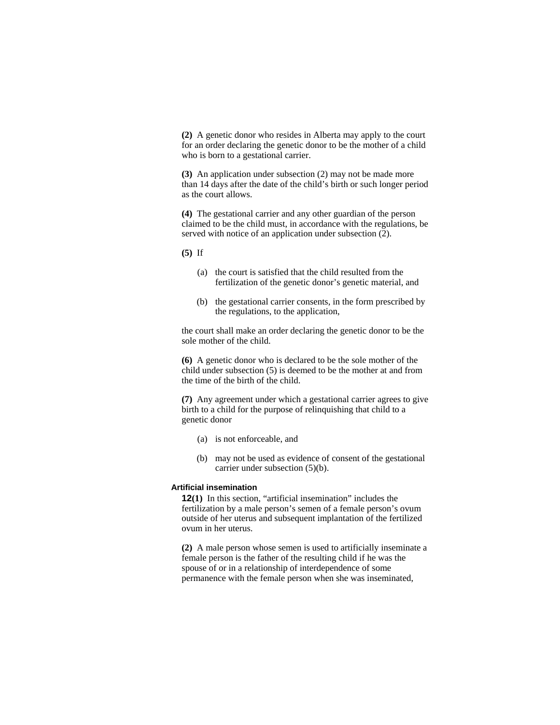**(2)** A genetic donor who resides in Alberta may apply to the court for an order declaring the genetic donor to be the mother of a child who is born to a gestational carrier.

**(3)** An application under subsection (2) may not be made more than 14 days after the date of the child's birth or such longer period as the court allows.

**(4)** The gestational carrier and any other guardian of the person claimed to be the child must, in accordance with the regulations, be served with notice of an application under subsection (2).

**(5)** If

- (a) the court is satisfied that the child resulted from the fertilization of the genetic donor's genetic material, and
- (b) the gestational carrier consents, in the form prescribed by the regulations, to the application,

the court shall make an order declaring the genetic donor to be the sole mother of the child.

**(6)** A genetic donor who is declared to be the sole mother of the child under subsection (5) is deemed to be the mother at and from the time of the birth of the child.

**(7)** Any agreement under which a gestational carrier agrees to give birth to a child for the purpose of relinquishing that child to a genetic donor

- (a) is not enforceable, and
- (b) may not be used as evidence of consent of the gestational carrier under subsection (5)(b).

#### **Artificial insemination**

**12(1)** In this section, "artificial insemination" includes the fertilization by a male person's semen of a female person's ovum outside of her uterus and subsequent implantation of the fertilized ovum in her uterus.

**(2)** A male person whose semen is used to artificially inseminate a female person is the father of the resulting child if he was the spouse of or in a relationship of interdependence of some permanence with the female person when she was inseminated,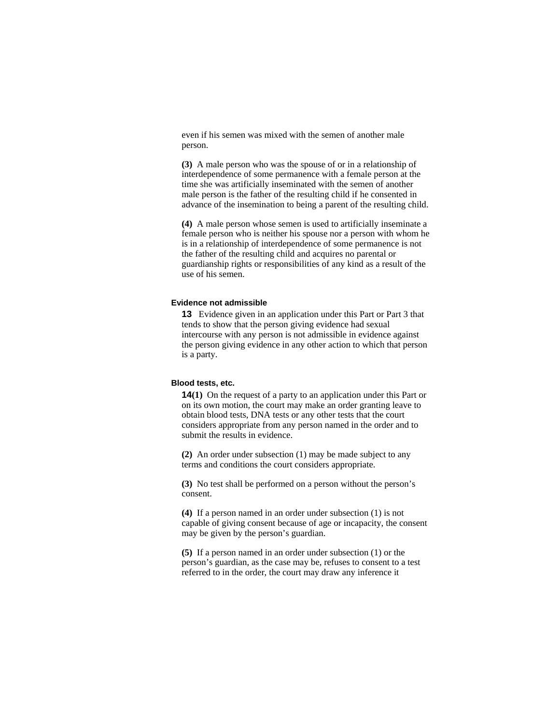even if his semen was mixed with the semen of another male person.

**(3)** A male person who was the spouse of or in a relationship of interdependence of some permanence with a female person at the time she was artificially inseminated with the semen of another male person is the father of the resulting child if he consented in advance of the insemination to being a parent of the resulting child.

**(4)** A male person whose semen is used to artificially inseminate a female person who is neither his spouse nor a person with whom he is in a relationship of interdependence of some permanence is not the father of the resulting child and acquires no parental or guardianship rights or responsibilities of any kind as a result of the use of his semen.

### **Evidence not admissible**

**13** Evidence given in an application under this Part or Part 3 that tends to show that the person giving evidence had sexual intercourse with any person is not admissible in evidence against the person giving evidence in any other action to which that person is a party.

### **Blood tests, etc.**

**14(1)** On the request of a party to an application under this Part or on its own motion, the court may make an order granting leave to obtain blood tests, DNA tests or any other tests that the court considers appropriate from any person named in the order and to submit the results in evidence.

**(2)** An order under subsection (1) may be made subject to any terms and conditions the court considers appropriate.

**(3)** No test shall be performed on a person without the person's consent.

**(4)** If a person named in an order under subsection (1) is not capable of giving consent because of age or incapacity, the consent may be given by the person's guardian.

**(5)** If a person named in an order under subsection (1) or the person's guardian, as the case may be, refuses to consent to a test referred to in the order, the court may draw any inference it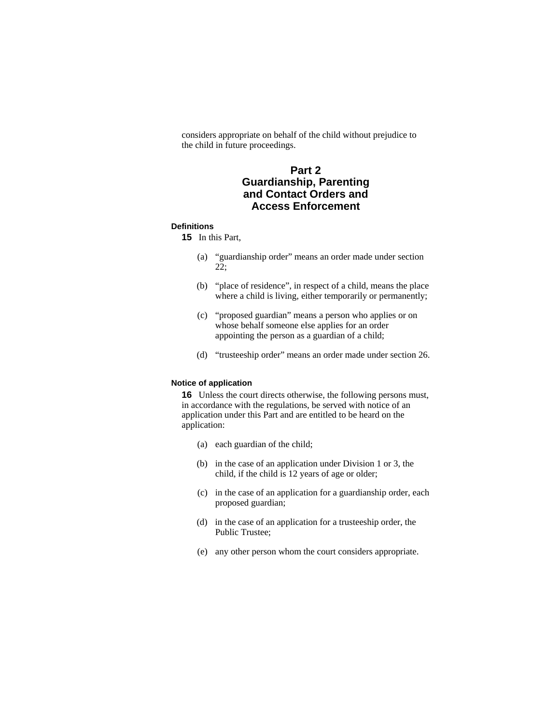considers appropriate on behalf of the child without prejudice to the child in future proceedings.

## **Part 2 Guardianship, Parenting and Contact Orders and Access Enforcement**

## **Definitions**

**15** In this Part,

- (a) "guardianship order" means an order made under section 22;
- (b) "place of residence", in respect of a child, means the place where a child is living, either temporarily or permanently;
- (c) "proposed guardian" means a person who applies or on whose behalf someone else applies for an order appointing the person as a guardian of a child;
- (d) "trusteeship order" means an order made under section 26.

### **Notice of application**

**16** Unless the court directs otherwise, the following persons must, in accordance with the regulations, be served with notice of an application under this Part and are entitled to be heard on the application:

- (a) each guardian of the child;
- (b) in the case of an application under Division 1 or 3, the child, if the child is 12 years of age or older;
- (c) in the case of an application for a guardianship order, each proposed guardian;
- (d) in the case of an application for a trusteeship order, the Public Trustee;
- (e) any other person whom the court considers appropriate.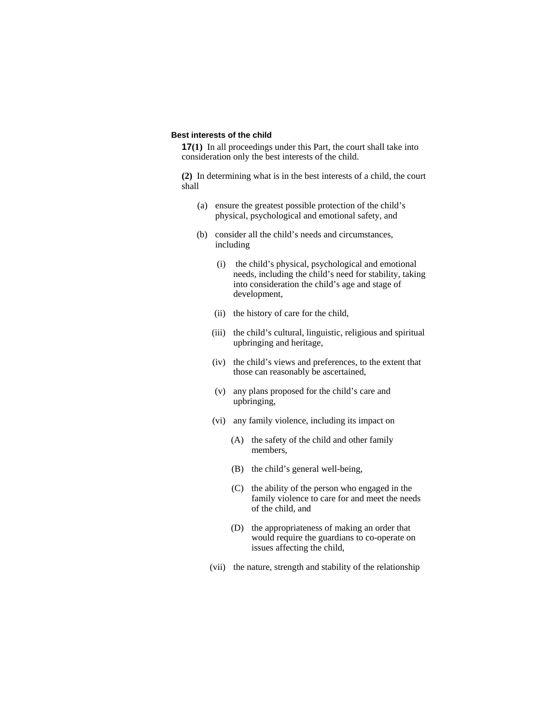#### **Best interests of the child**

**17(1)** In all proceedings under this Part, the court shall take into consideration only the best interests of the child.

**(2)** In determining what is in the best interests of a child, the court shall

- (a) ensure the greatest possible protection of the child's physical, psychological and emotional safety, and
- (b) consider all the child's needs and circumstances, including
	- (i) the child's physical, psychological and emotional needs, including the child's need for stability, taking into consideration the child's age and stage of development,
	- (ii) the history of care for the child,
	- (iii) the child's cultural, linguistic, religious and spiritual upbringing and heritage,
	- (iv) the child's views and preferences, to the extent that those can reasonably be ascertained,
	- (v) any plans proposed for the child's care and upbringing,
	- (vi) any family violence, including its impact on
		- (A) the safety of the child and other family members,
		- (B) the child's general well-being,
		- (C) the ability of the person who engaged in the family violence to care for and meet the needs of the child, and
		- (D) the appropriateness of making an order that would require the guardians to co-operate on issues affecting the child,
	- (vii) the nature, strength and stability of the relationship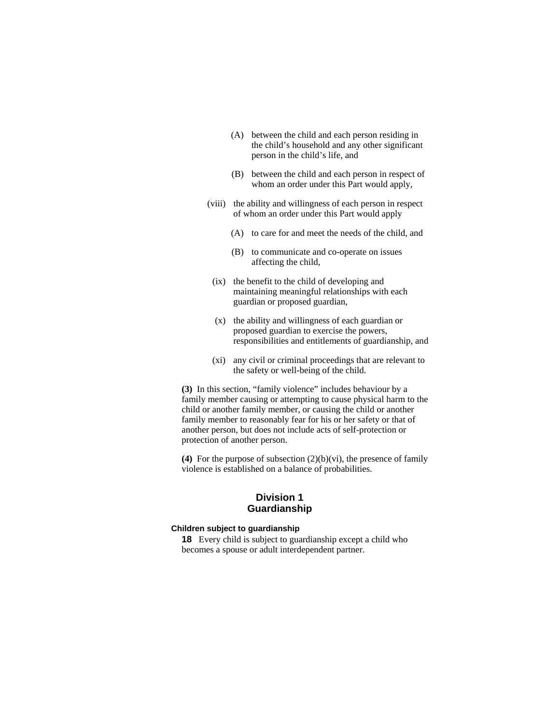- (A) between the child and each person residing in the child's household and any other significant person in the child's life, and
- (B) between the child and each person in respect of whom an order under this Part would apply,
- (viii) the ability and willingness of each person in respect of whom an order under this Part would apply
	- (A) to care for and meet the needs of the child, and
	- (B) to communicate and co-operate on issues affecting the child,
- (ix) the benefit to the child of developing and maintaining meaningful relationships with each guardian or proposed guardian,
- (x) the ability and willingness of each guardian or proposed guardian to exercise the powers, responsibilities and entitlements of guardianship, and
- (xi) any civil or criminal proceedings that are relevant to the safety or well-being of the child.

**(3)** In this section, "family violence" includes behaviour by a family member causing or attempting to cause physical harm to the child or another family member, or causing the child or another family member to reasonably fear for his or her safety or that of another person, but does not include acts of self-protection or protection of another person.

**(4)** For the purpose of subsection  $(2)(b)(vi)$ , the presence of family violence is established on a balance of probabilities.

## **Division 1 Guardianship**

#### **Children subject to guardianship**

**18** Every child is subject to guardianship except a child who becomes a spouse or adult interdependent partner.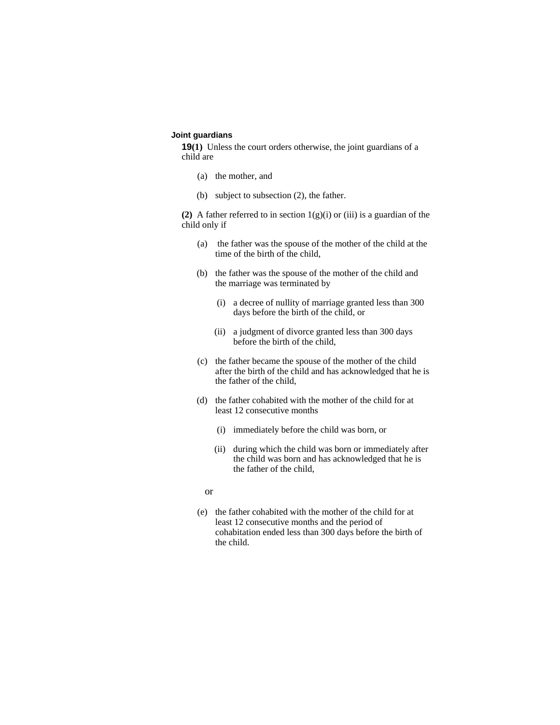#### **Joint guardians**

**19(1)** Unless the court orders otherwise, the joint guardians of a child are

- (a) the mother, and
- (b) subject to subsection (2), the father.

**(2)** A father referred to in section  $1(g)(i)$  or (iii) is a guardian of the child only if

- (a) the father was the spouse of the mother of the child at the time of the birth of the child,
- (b) the father was the spouse of the mother of the child and the marriage was terminated by
	- (i) a decree of nullity of marriage granted less than 300 days before the birth of the child, or
	- (ii) a judgment of divorce granted less than 300 days before the birth of the child,
- (c) the father became the spouse of the mother of the child after the birth of the child and has acknowledged that he is the father of the child,
- (d) the father cohabited with the mother of the child for at least 12 consecutive months
	- (i) immediately before the child was born, or
	- (ii) during which the child was born or immediately after the child was born and has acknowledged that he is the father of the child,

or

(e) the father cohabited with the mother of the child for at least 12 consecutive months and the period of cohabitation ended less than 300 days before the birth of the child.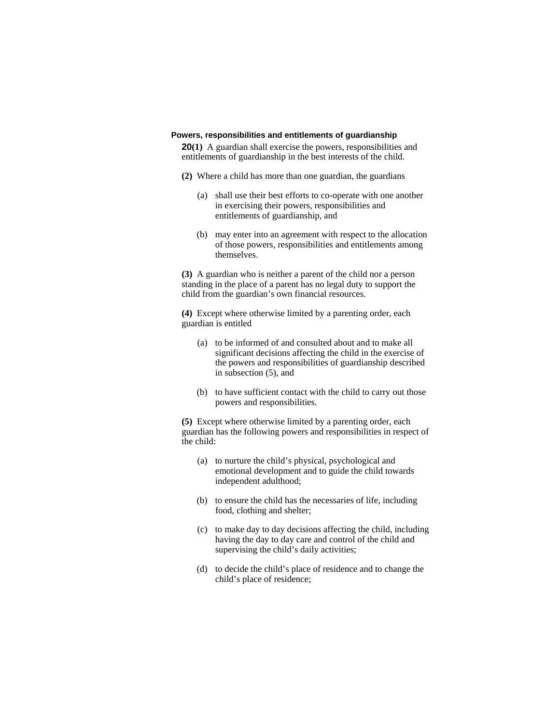#### **Powers, responsibilities and entitlements of guardianship**

**20(1)** A guardian shall exercise the powers, responsibilities and entitlements of guardianship in the best interests of the child.

- **(2)** Where a child has more than one guardian, the guardians
	- (a) shall use their best efforts to co-operate with one another in exercising their powers, responsibilities and entitlements of guardianship, and
	- (b) may enter into an agreement with respect to the allocation of those powers, responsibilities and entitlements among themselves.

**(3)** A guardian who is neither a parent of the child nor a person standing in the place of a parent has no legal duty to support the child from the guardian's own financial resources.

**(4)** Except where otherwise limited by a parenting order, each guardian is entitled

- (a) to be informed of and consulted about and to make all significant decisions affecting the child in the exercise of the powers and responsibilities of guardianship described in subsection (5), and
- (b) to have sufficient contact with the child to carry out those powers and responsibilities.

**(5)** Except where otherwise limited by a parenting order, each guardian has the following powers and responsibilities in respect of the child:

- (a) to nurture the child's physical, psychological and emotional development and to guide the child towards independent adulthood;
- (b) to ensure the child has the necessaries of life, including food, clothing and shelter;
- (c) to make day to day decisions affecting the child, including having the day to day care and control of the child and supervising the child's daily activities;
- (d) to decide the child's place of residence and to change the child's place of residence;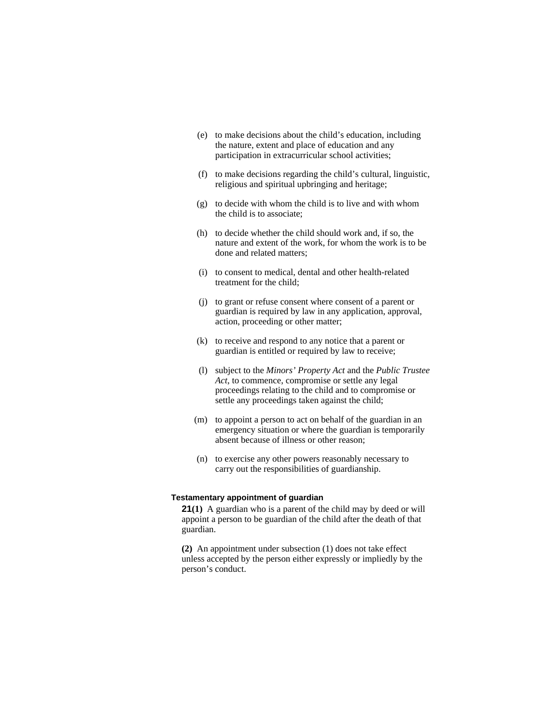- (e) to make decisions about the child's education, including the nature, extent and place of education and any participation in extracurricular school activities;
- (f) to make decisions regarding the child's cultural, linguistic, religious and spiritual upbringing and heritage;
- (g) to decide with whom the child is to live and with whom the child is to associate;
- (h) to decide whether the child should work and, if so, the nature and extent of the work, for whom the work is to be done and related matters;
- (i) to consent to medical, dental and other health-related treatment for the child;
- (j) to grant or refuse consent where consent of a parent or guardian is required by law in any application, approval, action, proceeding or other matter;
- (k) to receive and respond to any notice that a parent or guardian is entitled or required by law to receive;
- (l) subject to the *Minors' Property Act* and the *Public Trustee Act*, to commence, compromise or settle any legal proceedings relating to the child and to compromise or settle any proceedings taken against the child;
- (m) to appoint a person to act on behalf of the guardian in an emergency situation or where the guardian is temporarily absent because of illness or other reason;
- (n) to exercise any other powers reasonably necessary to carry out the responsibilities of guardianship.

#### **Testamentary appointment of guardian**

**21(1)** A guardian who is a parent of the child may by deed or will appoint a person to be guardian of the child after the death of that guardian.

**(2)** An appointment under subsection (1) does not take effect unless accepted by the person either expressly or impliedly by the person's conduct.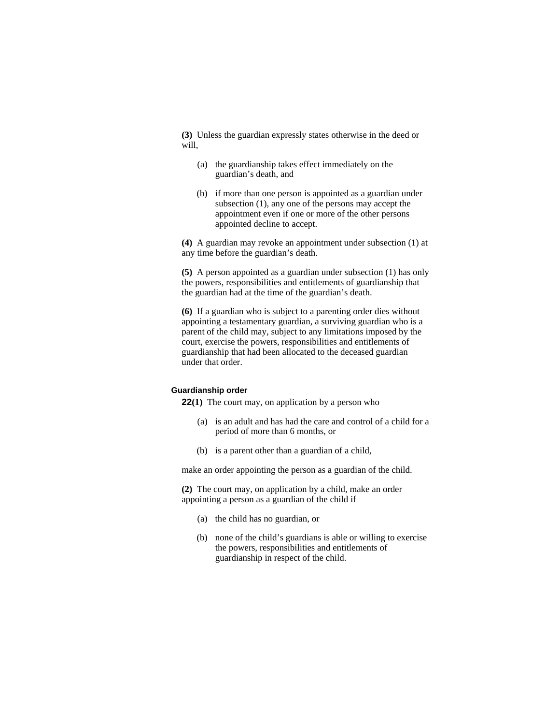**(3)** Unless the guardian expressly states otherwise in the deed or will,

- (a) the guardianship takes effect immediately on the guardian's death, and
- (b) if more than one person is appointed as a guardian under subsection (1), any one of the persons may accept the appointment even if one or more of the other persons appointed decline to accept.

**(4)** A guardian may revoke an appointment under subsection (1) at any time before the guardian's death.

**(5)** A person appointed as a guardian under subsection (1) has only the powers, responsibilities and entitlements of guardianship that the guardian had at the time of the guardian's death.

**(6)** If a guardian who is subject to a parenting order dies without appointing a testamentary guardian, a surviving guardian who is a parent of the child may, subject to any limitations imposed by the court, exercise the powers, responsibilities and entitlements of guardianship that had been allocated to the deceased guardian under that order.

#### **Guardianship order**

**22(1)** The court may, on application by a person who

- (a) is an adult and has had the care and control of a child for a period of more than 6 months, or
- (b) is a parent other than a guardian of a child,

make an order appointing the person as a guardian of the child.

**(2)** The court may, on application by a child, make an order appointing a person as a guardian of the child if

- (a) the child has no guardian, or
- (b) none of the child's guardians is able or willing to exercise the powers, responsibilities and entitlements of guardianship in respect of the child.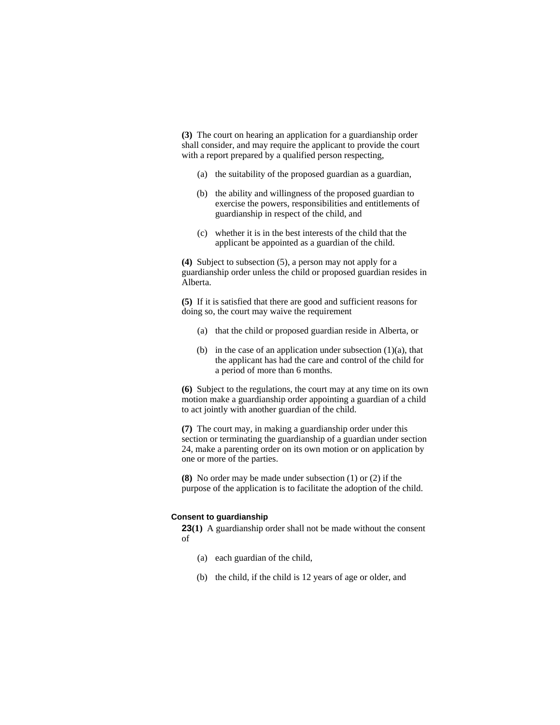**(3)** The court on hearing an application for a guardianship order shall consider, and may require the applicant to provide the court with a report prepared by a qualified person respecting,

- (a) the suitability of the proposed guardian as a guardian,
- (b) the ability and willingness of the proposed guardian to exercise the powers, responsibilities and entitlements of guardianship in respect of the child, and
- (c) whether it is in the best interests of the child that the applicant be appointed as a guardian of the child.

**(4)** Subject to subsection (5), a person may not apply for a guardianship order unless the child or proposed guardian resides in Alberta.

**(5)** If it is satisfied that there are good and sufficient reasons for doing so, the court may waive the requirement

- (a) that the child or proposed guardian reside in Alberta, or
- (b) in the case of an application under subsection  $(1)(a)$ , that the applicant has had the care and control of the child for a period of more than 6 months.

**(6)** Subject to the regulations, the court may at any time on its own motion make a guardianship order appointing a guardian of a child to act jointly with another guardian of the child.

**(7)** The court may, in making a guardianship order under this section or terminating the guardianship of a guardian under section 24, make a parenting order on its own motion or on application by one or more of the parties.

**(8)** No order may be made under subsection (1) or (2) if the purpose of the application is to facilitate the adoption of the child.

#### **Consent to guardianship**

**23(1)** A guardianship order shall not be made without the consent of

- (a) each guardian of the child,
- (b) the child, if the child is 12 years of age or older, and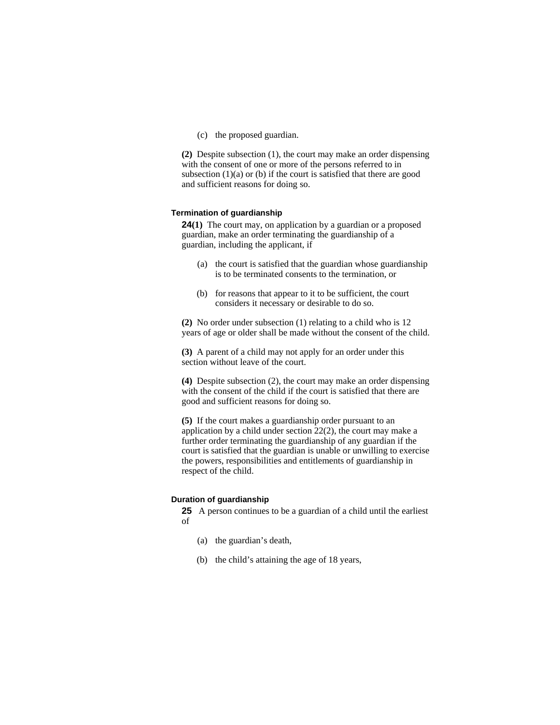(c) the proposed guardian.

**(2)** Despite subsection (1), the court may make an order dispensing with the consent of one or more of the persons referred to in subsection  $(1)(a)$  or  $(b)$  if the court is satisfied that there are good and sufficient reasons for doing so.

#### **Termination of guardianship**

**24(1)** The court may, on application by a guardian or a proposed guardian, make an order terminating the guardianship of a guardian, including the applicant, if

- (a) the court is satisfied that the guardian whose guardianship is to be terminated consents to the termination, or
- (b) for reasons that appear to it to be sufficient, the court considers it necessary or desirable to do so.

**(2)** No order under subsection (1) relating to a child who is 12 years of age or older shall be made without the consent of the child.

**(3)** A parent of a child may not apply for an order under this section without leave of the court.

**(4)** Despite subsection (2), the court may make an order dispensing with the consent of the child if the court is satisfied that there are good and sufficient reasons for doing so.

**(5)** If the court makes a guardianship order pursuant to an application by a child under section 22(2), the court may make a further order terminating the guardianship of any guardian if the court is satisfied that the guardian is unable or unwilling to exercise the powers, responsibilities and entitlements of guardianship in respect of the child.

#### **Duration of guardianship**

**25** A person continues to be a guardian of a child until the earliest of

- (a) the guardian's death,
- (b) the child's attaining the age of 18 years,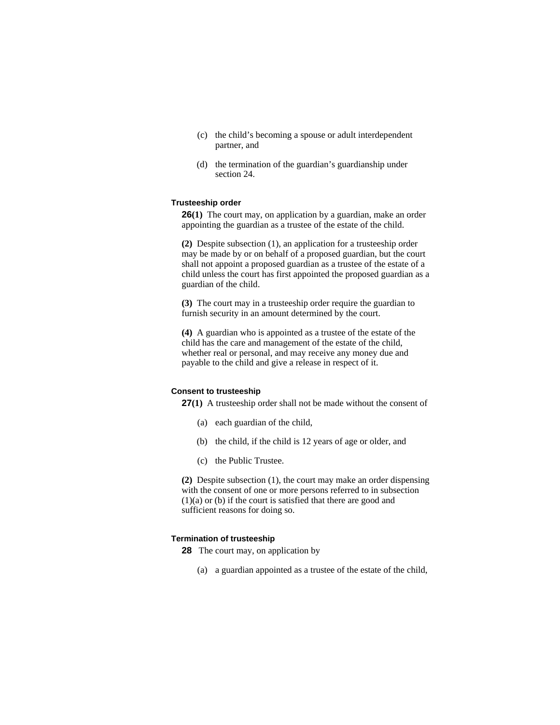- (c) the child's becoming a spouse or adult interdependent partner, and
- (d) the termination of the guardian's guardianship under section 24.

#### **Trusteeship order**

**26(1)** The court may, on application by a guardian, make an order appointing the guardian as a trustee of the estate of the child.

**(2)** Despite subsection (1), an application for a trusteeship order may be made by or on behalf of a proposed guardian, but the court shall not appoint a proposed guardian as a trustee of the estate of a child unless the court has first appointed the proposed guardian as a guardian of the child.

**(3)** The court may in a trusteeship order require the guardian to furnish security in an amount determined by the court.

**(4)** A guardian who is appointed as a trustee of the estate of the child has the care and management of the estate of the child, whether real or personal, and may receive any money due and payable to the child and give a release in respect of it.

#### **Consent to trusteeship**

**27(1)** A trusteeship order shall not be made without the consent of

- (a) each guardian of the child,
- (b) the child, if the child is 12 years of age or older, and
- (c) the Public Trustee.

**(2)** Despite subsection (1), the court may make an order dispensing with the consent of one or more persons referred to in subsection (1)(a) or (b) if the court is satisfied that there are good and sufficient reasons for doing so.

#### **Termination of trusteeship**

**28** The court may, on application by

(a) a guardian appointed as a trustee of the estate of the child,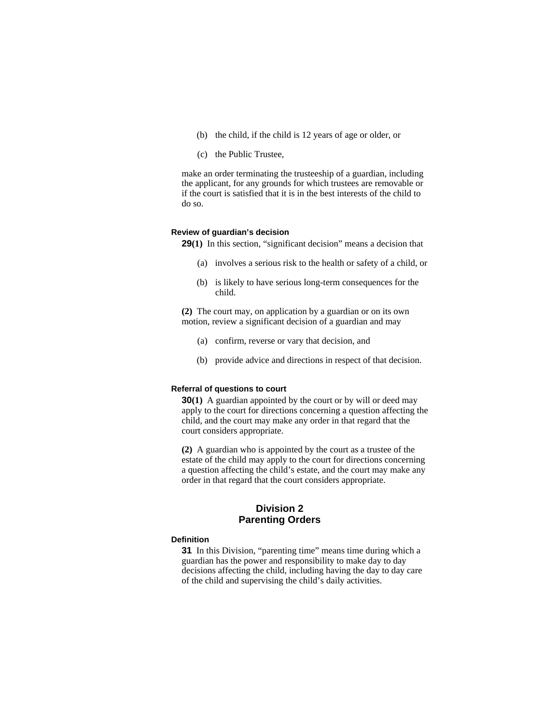- (b) the child, if the child is 12 years of age or older, or
- (c) the Public Trustee,

make an order terminating the trusteeship of a guardian, including the applicant, for any grounds for which trustees are removable or if the court is satisfied that it is in the best interests of the child to do so.

#### **Review of guardian's decision**

**29(1)** In this section, "significant decision" means a decision that

- (a) involves a serious risk to the health or safety of a child, or
- (b) is likely to have serious long-term consequences for the child.

**(2)** The court may, on application by a guardian or on its own motion, review a significant decision of a guardian and may

- (a) confirm, reverse or vary that decision, and
- (b) provide advice and directions in respect of that decision.

#### **Referral of questions to court**

**30(1)** A guardian appointed by the court or by will or deed may apply to the court for directions concerning a question affecting the child, and the court may make any order in that regard that the court considers appropriate.

**(2)** A guardian who is appointed by the court as a trustee of the estate of the child may apply to the court for directions concerning a question affecting the child's estate, and the court may make any order in that regard that the court considers appropriate.

## **Division 2 Parenting Orders**

#### **Definition**

**31** In this Division, "parenting time" means time during which a guardian has the power and responsibility to make day to day decisions affecting the child, including having the day to day care of the child and supervising the child's daily activities.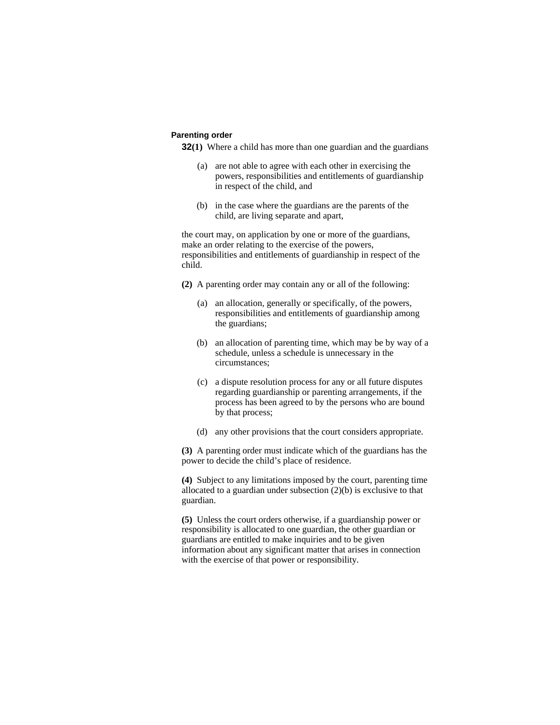#### **Parenting order**

**32(1)** Where a child has more than one guardian and the guardians

- (a) are not able to agree with each other in exercising the powers, responsibilities and entitlements of guardianship in respect of the child, and
- (b) in the case where the guardians are the parents of the child, are living separate and apart,

the court may, on application by one or more of the guardians, make an order relating to the exercise of the powers, responsibilities and entitlements of guardianship in respect of the child.

- **(2)** A parenting order may contain any or all of the following:
	- (a) an allocation, generally or specifically, of the powers, responsibilities and entitlements of guardianship among the guardians;
	- (b) an allocation of parenting time, which may be by way of a schedule, unless a schedule is unnecessary in the circumstances;
	- (c) a dispute resolution process for any or all future disputes regarding guardianship or parenting arrangements, if the process has been agreed to by the persons who are bound by that process;
	- (d) any other provisions that the court considers appropriate.

**(3)** A parenting order must indicate which of the guardians has the power to decide the child's place of residence.

**(4)** Subject to any limitations imposed by the court, parenting time allocated to a guardian under subsection (2)(b) is exclusive to that guardian.

**(5)** Unless the court orders otherwise, if a guardianship power or responsibility is allocated to one guardian, the other guardian or guardians are entitled to make inquiries and to be given information about any significant matter that arises in connection with the exercise of that power or responsibility.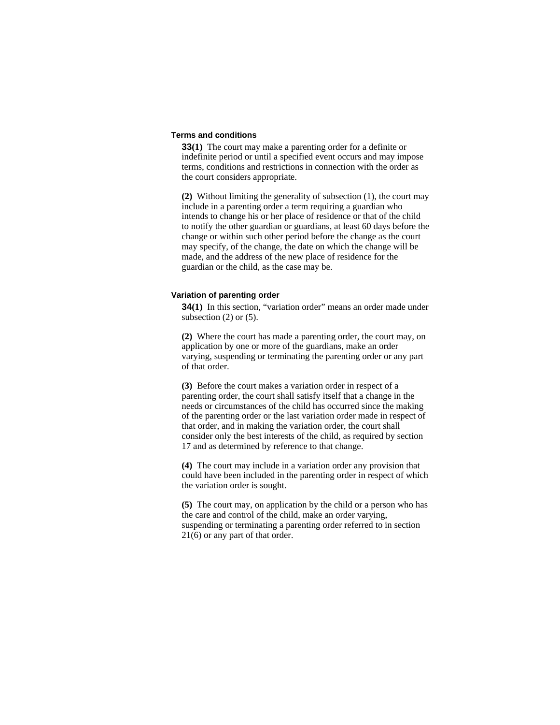#### **Terms and conditions**

**33(1)** The court may make a parenting order for a definite or indefinite period or until a specified event occurs and may impose terms, conditions and restrictions in connection with the order as the court considers appropriate.

**(2)** Without limiting the generality of subsection (1), the court may include in a parenting order a term requiring a guardian who intends to change his or her place of residence or that of the child to notify the other guardian or guardians, at least 60 days before the change or within such other period before the change as the court may specify, of the change, the date on which the change will be made, and the address of the new place of residence for the guardian or the child, as the case may be.

#### **Variation of parenting order**

**34(1)** In this section, "variation order" means an order made under subsection  $(2)$  or  $(5)$ .

**(2)** Where the court has made a parenting order, the court may, on application by one or more of the guardians, make an order varying, suspending or terminating the parenting order or any part of that order.

**(3)** Before the court makes a variation order in respect of a parenting order, the court shall satisfy itself that a change in the needs or circumstances of the child has occurred since the making of the parenting order or the last variation order made in respect of that order, and in making the variation order, the court shall consider only the best interests of the child, as required by section 17 and as determined by reference to that change.

**(4)** The court may include in a variation order any provision that could have been included in the parenting order in respect of which the variation order is sought.

**(5)** The court may, on application by the child or a person who has the care and control of the child, make an order varying, suspending or terminating a parenting order referred to in section 21(6) or any part of that order.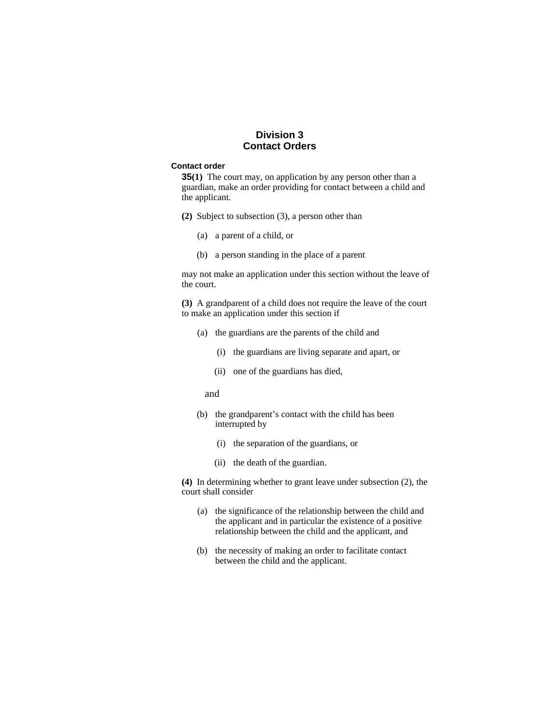## **Division 3 Contact Orders**

#### **Contact order**

**35(1)** The court may, on application by any person other than a guardian, make an order providing for contact between a child and the applicant.

- **(2)** Subject to subsection (3), a person other than
	- (a) a parent of a child, or
	- (b) a person standing in the place of a parent

may not make an application under this section without the leave of the court.

**(3)** A grandparent of a child does not require the leave of the court to make an application under this section if

- (a) the guardians are the parents of the child and
	- (i) the guardians are living separate and apart, or
	- (ii) one of the guardians has died,

and

- (b) the grandparent's contact with the child has been interrupted by
	- (i) the separation of the guardians, or
	- (ii) the death of the guardian.

**(4)** In determining whether to grant leave under subsection (2), the court shall consider

- (a) the significance of the relationship between the child and the applicant and in particular the existence of a positive relationship between the child and the applicant, and
- (b) the necessity of making an order to facilitate contact between the child and the applicant.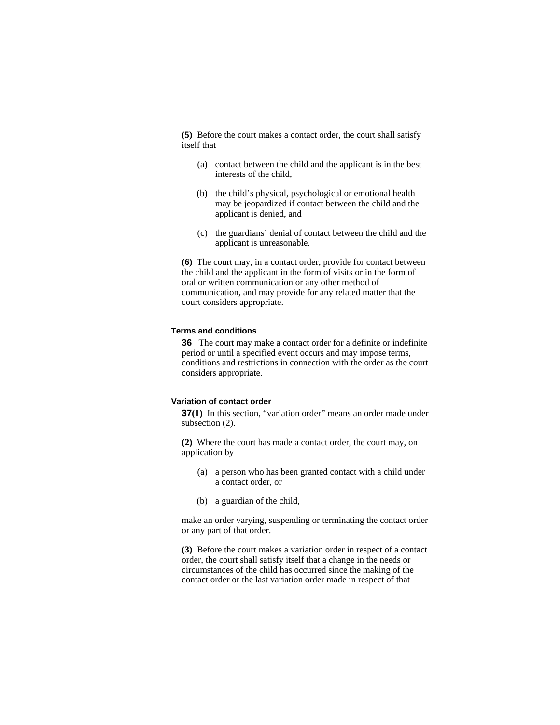**(5)** Before the court makes a contact order, the court shall satisfy itself that

- (a) contact between the child and the applicant is in the best interests of the child,
- (b) the child's physical, psychological or emotional health may be jeopardized if contact between the child and the applicant is denied, and
- (c) the guardians' denial of contact between the child and the applicant is unreasonable.

**(6)** The court may, in a contact order, provide for contact between the child and the applicant in the form of visits or in the form of oral or written communication or any other method of communication, and may provide for any related matter that the court considers appropriate.

#### **Terms and conditions**

**36** The court may make a contact order for a definite or indefinite period or until a specified event occurs and may impose terms, conditions and restrictions in connection with the order as the court considers appropriate.

#### **Variation of contact order**

**37(1)** In this section, "variation order" means an order made under subsection (2).

**(2)** Where the court has made a contact order, the court may, on application by

- (a) a person who has been granted contact with a child under a contact order, or
- (b) a guardian of the child,

make an order varying, suspending or terminating the contact order or any part of that order.

**(3)** Before the court makes a variation order in respect of a contact order, the court shall satisfy itself that a change in the needs or circumstances of the child has occurred since the making of the contact order or the last variation order made in respect of that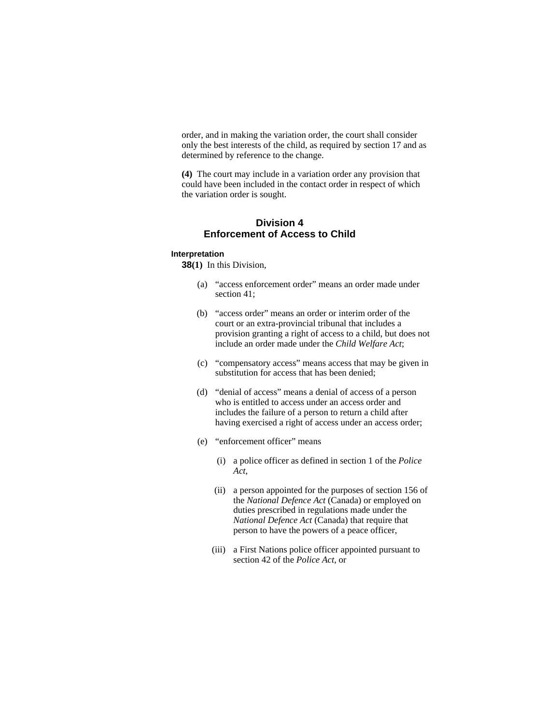order, and in making the variation order, the court shall consider only the best interests of the child, as required by section 17 and as determined by reference to the change.

**(4)** The court may include in a variation order any provision that could have been included in the contact order in respect of which the variation order is sought.

## **Division 4 Enforcement of Access to Child**

#### **Interpretation**

**38(1)** In this Division,

- (a) "access enforcement order" means an order made under section 41;
- (b) "access order" means an order or interim order of the court or an extra-provincial tribunal that includes a provision granting a right of access to a child, but does not include an order made under the *Child Welfare Act*;
- (c) "compensatory access" means access that may be given in substitution for access that has been denied;
- (d) "denial of access" means a denial of access of a person who is entitled to access under an access order and includes the failure of a person to return a child after having exercised a right of access under an access order;
- (e) "enforcement officer" means
	- (i) a police officer as defined in section 1 of the *Police Act*,
	- (ii) a person appointed for the purposes of section 156 of the *National Defence Act* (Canada) or employed on duties prescribed in regulations made under the *National Defence Act* (Canada) that require that person to have the powers of a peace officer,
	- (iii) a First Nations police officer appointed pursuant to section 42 of the *Police Act*, or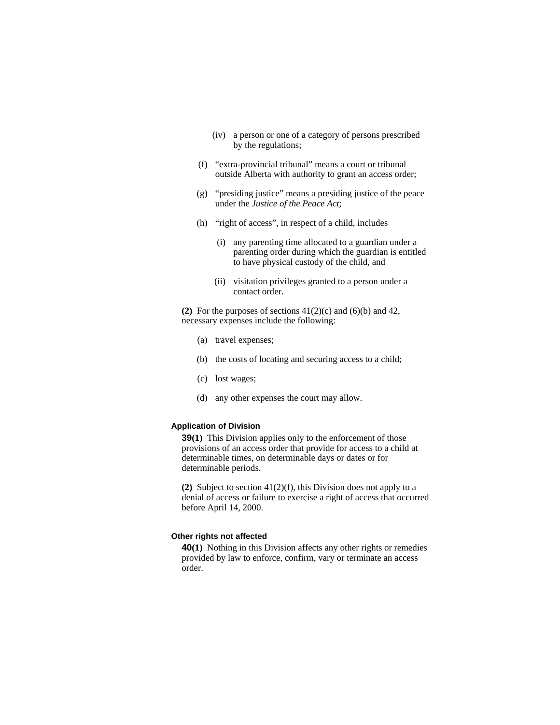- (iv) a person or one of a category of persons prescribed by the regulations;
- (f) "extra-provincial tribunal" means a court or tribunal outside Alberta with authority to grant an access order;
- (g) "presiding justice" means a presiding justice of the peace under the *Justice of the Peace Act*;
- (h) "right of access", in respect of a child, includes
	- (i) any parenting time allocated to a guardian under a parenting order during which the guardian is entitled to have physical custody of the child, and
	- (ii) visitation privileges granted to a person under a contact order.

**(2)** For the purposes of sections 41(2)(c) and (6)(b) and 42, necessary expenses include the following:

- (a) travel expenses;
- (b) the costs of locating and securing access to a child;
- (c) lost wages;
- (d) any other expenses the court may allow.

#### **Application of Division**

**39(1)** This Division applies only to the enforcement of those provisions of an access order that provide for access to a child at determinable times, on determinable days or dates or for determinable periods.

**(2)** Subject to section 41(2)(f), this Division does not apply to a denial of access or failure to exercise a right of access that occurred before April 14, 2000.

#### **Other rights not affected**

**40(1)** Nothing in this Division affects any other rights or remedies provided by law to enforce, confirm, vary or terminate an access order.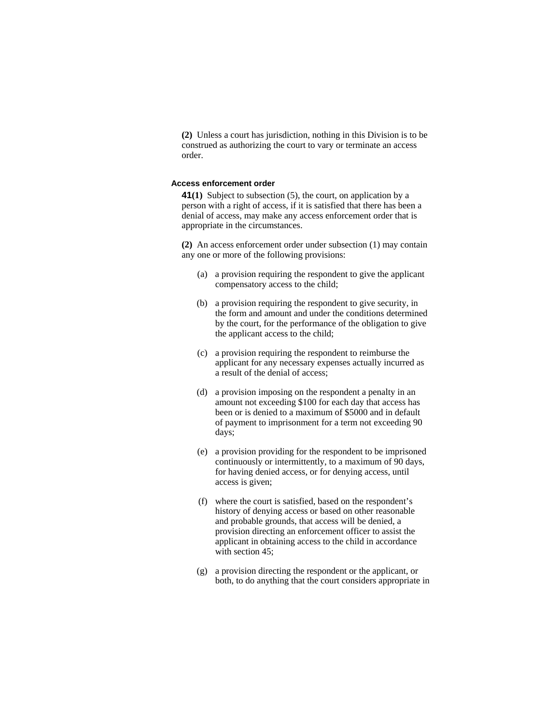**(2)** Unless a court has jurisdiction, nothing in this Division is to be construed as authorizing the court to vary or terminate an access order.

#### **Access enforcement order**

**41(1)** Subject to subsection (5), the court, on application by a person with a right of access, if it is satisfied that there has been a denial of access, may make any access enforcement order that is appropriate in the circumstances.

**(2)** An access enforcement order under subsection (1) may contain any one or more of the following provisions:

- (a) a provision requiring the respondent to give the applicant compensatory access to the child;
- (b) a provision requiring the respondent to give security, in the form and amount and under the conditions determined by the court, for the performance of the obligation to give the applicant access to the child;
- (c) a provision requiring the respondent to reimburse the applicant for any necessary expenses actually incurred as a result of the denial of access;
- (d) a provision imposing on the respondent a penalty in an amount not exceeding \$100 for each day that access has been or is denied to a maximum of \$5000 and in default of payment to imprisonment for a term not exceeding 90 days;
- (e) a provision providing for the respondent to be imprisoned continuously or intermittently, to a maximum of 90 days, for having denied access, or for denying access, until access is given;
- (f) where the court is satisfied, based on the respondent's history of denying access or based on other reasonable and probable grounds, that access will be denied, a provision directing an enforcement officer to assist the applicant in obtaining access to the child in accordance with section 45;
- (g) a provision directing the respondent or the applicant, or both, to do anything that the court considers appropriate in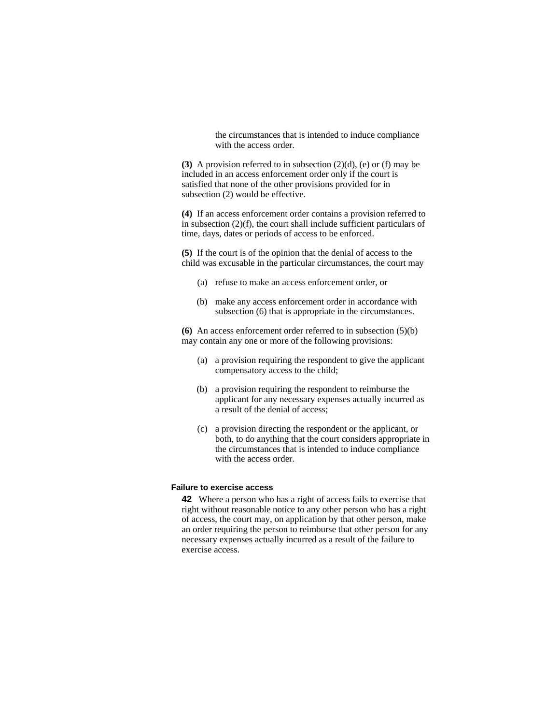the circumstances that is intended to induce compliance with the access order.

**(3)** A provision referred to in subsection (2)(d), (e) or (f) may be included in an access enforcement order only if the court is satisfied that none of the other provisions provided for in subsection (2) would be effective.

**(4)** If an access enforcement order contains a provision referred to in subsection (2)(f), the court shall include sufficient particulars of time, days, dates or periods of access to be enforced.

**(5)** If the court is of the opinion that the denial of access to the child was excusable in the particular circumstances, the court may

- (a) refuse to make an access enforcement order, or
- (b) make any access enforcement order in accordance with subsection (6) that is appropriate in the circumstances.

**(6)** An access enforcement order referred to in subsection (5)(b) may contain any one or more of the following provisions:

- (a) a provision requiring the respondent to give the applicant compensatory access to the child;
- (b) a provision requiring the respondent to reimburse the applicant for any necessary expenses actually incurred as a result of the denial of access;
- (c) a provision directing the respondent or the applicant, or both, to do anything that the court considers appropriate in the circumstances that is intended to induce compliance with the access order.

#### **Failure to exercise access**

**42** Where a person who has a right of access fails to exercise that right without reasonable notice to any other person who has a right of access, the court may, on application by that other person, make an order requiring the person to reimburse that other person for any necessary expenses actually incurred as a result of the failure to exercise access.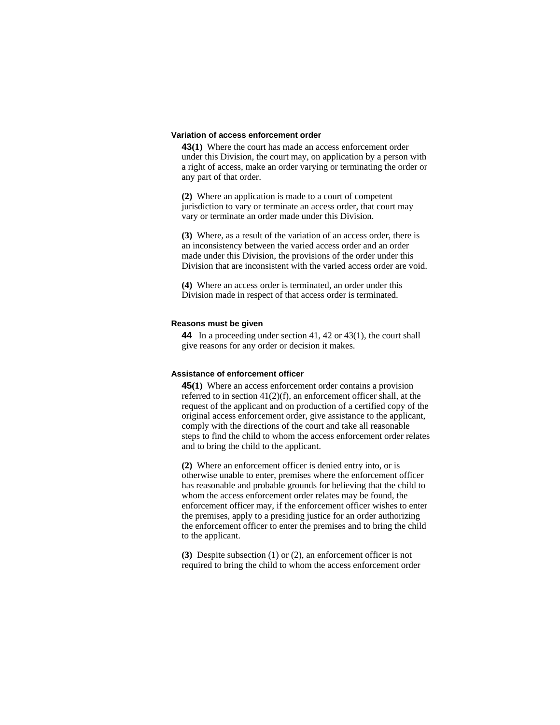#### **Variation of access enforcement order**

**43(1)** Where the court has made an access enforcement order under this Division, the court may, on application by a person with a right of access, make an order varying or terminating the order or any part of that order.

**(2)** Where an application is made to a court of competent jurisdiction to vary or terminate an access order, that court may vary or terminate an order made under this Division.

**(3)** Where, as a result of the variation of an access order, there is an inconsistency between the varied access order and an order made under this Division, the provisions of the order under this Division that are inconsistent with the varied access order are void.

**(4)** Where an access order is terminated, an order under this Division made in respect of that access order is terminated.

#### **Reasons must be given**

**44** In a proceeding under section 41, 42 or 43(1), the court shall give reasons for any order or decision it makes.

#### **Assistance of enforcement officer**

**45(1)** Where an access enforcement order contains a provision referred to in section 41(2)(f), an enforcement officer shall, at the request of the applicant and on production of a certified copy of the original access enforcement order, give assistance to the applicant, comply with the directions of the court and take all reasonable steps to find the child to whom the access enforcement order relates and to bring the child to the applicant.

**(2)** Where an enforcement officer is denied entry into, or is otherwise unable to enter, premises where the enforcement officer has reasonable and probable grounds for believing that the child to whom the access enforcement order relates may be found, the enforcement officer may, if the enforcement officer wishes to enter the premises, apply to a presiding justice for an order authorizing the enforcement officer to enter the premises and to bring the child to the applicant.

**(3)** Despite subsection (1) or (2), an enforcement officer is not required to bring the child to whom the access enforcement order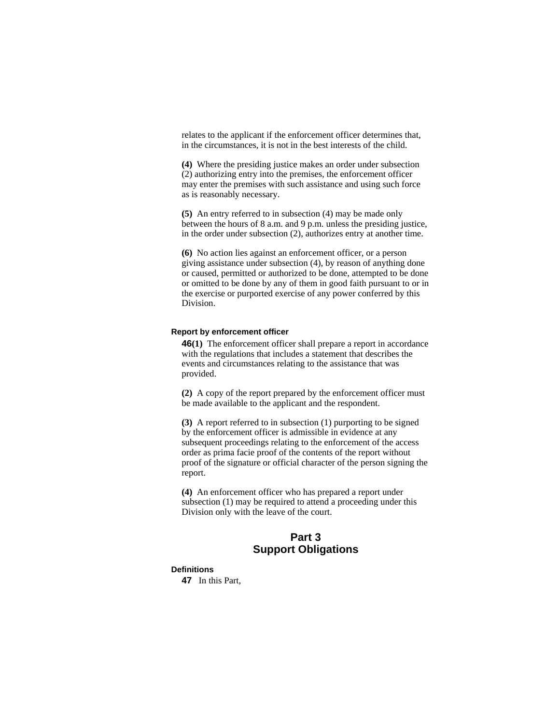relates to the applicant if the enforcement officer determines that, in the circumstances, it is not in the best interests of the child.

**(4)** Where the presiding justice makes an order under subsection (2) authorizing entry into the premises, the enforcement officer may enter the premises with such assistance and using such force as is reasonably necessary.

**(5)** An entry referred to in subsection (4) may be made only between the hours of 8 a.m. and 9 p.m. unless the presiding justice, in the order under subsection (2), authorizes entry at another time.

**(6)** No action lies against an enforcement officer, or a person giving assistance under subsection (4), by reason of anything done or caused, permitted or authorized to be done, attempted to be done or omitted to be done by any of them in good faith pursuant to or in the exercise or purported exercise of any power conferred by this Division.

## **Report by enforcement officer**

**46(1)** The enforcement officer shall prepare a report in accordance with the regulations that includes a statement that describes the events and circumstances relating to the assistance that was provided.

**(2)** A copy of the report prepared by the enforcement officer must be made available to the applicant and the respondent.

**(3)** A report referred to in subsection (1) purporting to be signed by the enforcement officer is admissible in evidence at any subsequent proceedings relating to the enforcement of the access order as prima facie proof of the contents of the report without proof of the signature or official character of the person signing the report.

**(4)** An enforcement officer who has prepared a report under subsection (1) may be required to attend a proceeding under this Division only with the leave of the court.

## **Part 3 Support Obligations**

#### **Definitions**

**47** In this Part,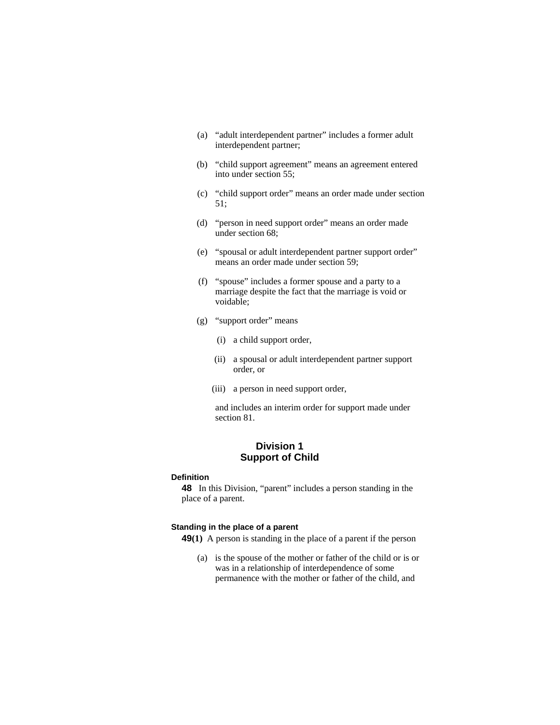- (a) "adult interdependent partner" includes a former adult interdependent partner;
- (b) "child support agreement" means an agreement entered into under section 55;
- (c) "child support order" means an order made under section 51;
- (d) "person in need support order" means an order made under section 68;
- (e) "spousal or adult interdependent partner support order" means an order made under section 59;
- (f) "spouse" includes a former spouse and a party to a marriage despite the fact that the marriage is void or voidable;
- (g) "support order" means
	- (i) a child support order,
	- (ii) a spousal or adult interdependent partner support order, or
	- (iii) a person in need support order,

 and includes an interim order for support made under section 81.

## **Division 1 Support of Child**

### **Definition**

**48** In this Division, "parent" includes a person standing in the place of a parent.

#### **Standing in the place of a parent**

**49(1)** A person is standing in the place of a parent if the person

 (a) is the spouse of the mother or father of the child or is or was in a relationship of interdependence of some permanence with the mother or father of the child, and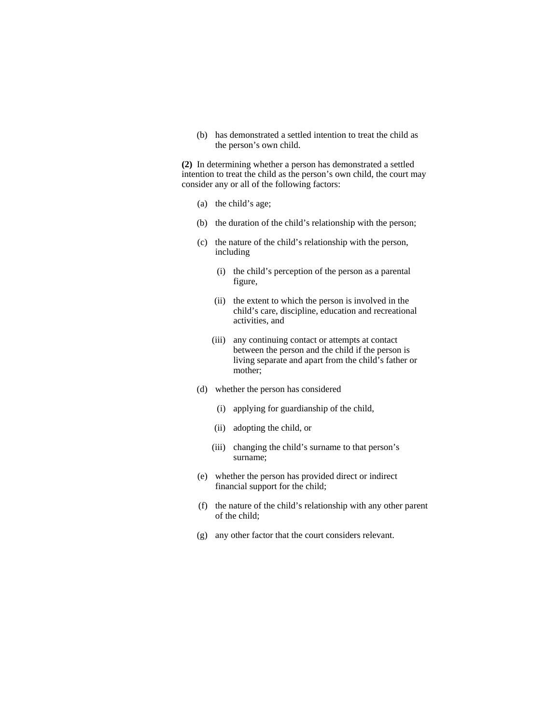(b) has demonstrated a settled intention to treat the child as the person's own child.

**(2)** In determining whether a person has demonstrated a settled intention to treat the child as the person's own child, the court may consider any or all of the following factors:

- (a) the child's age;
- (b) the duration of the child's relationship with the person;
- (c) the nature of the child's relationship with the person, including
	- (i) the child's perception of the person as a parental figure,
	- (ii) the extent to which the person is involved in the child's care, discipline, education and recreational activities, and
	- (iii) any continuing contact or attempts at contact between the person and the child if the person is living separate and apart from the child's father or mother;
- (d) whether the person has considered
	- (i) applying for guardianship of the child,
	- (ii) adopting the child, or
	- (iii) changing the child's surname to that person's surname;
- (e) whether the person has provided direct or indirect financial support for the child;
- (f) the nature of the child's relationship with any other parent of the child;
- (g) any other factor that the court considers relevant.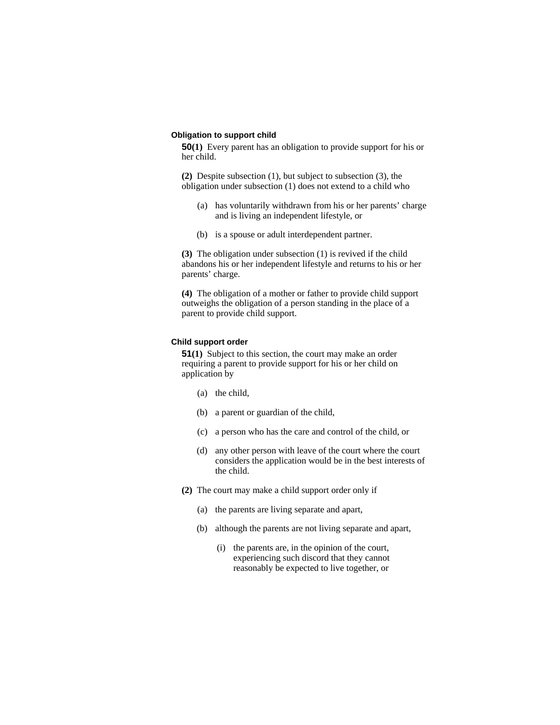#### **Obligation to support child**

**50(1)** Every parent has an obligation to provide support for his or her child.

**(2)** Despite subsection (1), but subject to subsection (3), the obligation under subsection (1) does not extend to a child who

- (a) has voluntarily withdrawn from his or her parents' charge and is living an independent lifestyle, or
- (b) is a spouse or adult interdependent partner.

**(3)** The obligation under subsection (1) is revived if the child abandons his or her independent lifestyle and returns to his or her parents' charge.

**(4)** The obligation of a mother or father to provide child support outweighs the obligation of a person standing in the place of a parent to provide child support.

### **Child support order**

**51(1)** Subject to this section, the court may make an order requiring a parent to provide support for his or her child on application by

- (a) the child,
- (b) a parent or guardian of the child,
- (c) a person who has the care and control of the child, or
- (d) any other person with leave of the court where the court considers the application would be in the best interests of the child.
- **(2)** The court may make a child support order only if
	- (a) the parents are living separate and apart,
	- (b) although the parents are not living separate and apart,
		- (i) the parents are, in the opinion of the court, experiencing such discord that they cannot reasonably be expected to live together, or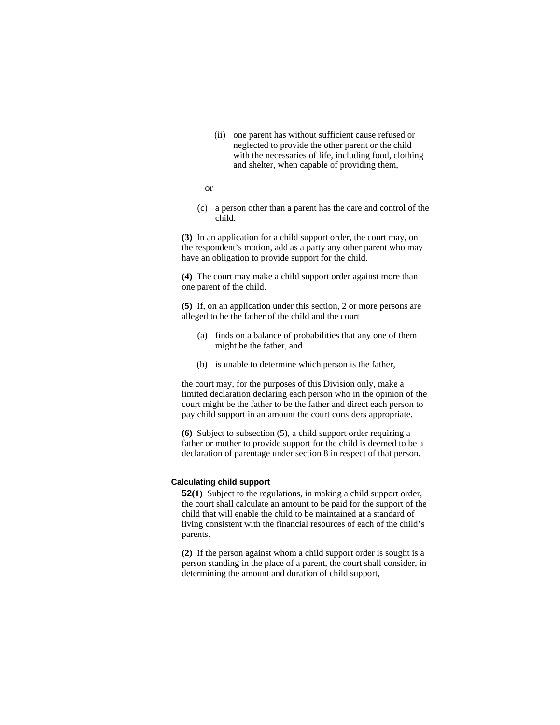- (ii) one parent has without sufficient cause refused or neglected to provide the other parent or the child with the necessaries of life, including food, clothing and shelter, when capable of providing them,
- or
	- (c) a person other than a parent has the care and control of the child.

**(3)** In an application for a child support order, the court may, on the respondent's motion, add as a party any other parent who may have an obligation to provide support for the child.

**(4)** The court may make a child support order against more than one parent of the child.

**(5)** If, on an application under this section, 2 or more persons are alleged to be the father of the child and the court

- (a) finds on a balance of probabilities that any one of them might be the father, and
- (b) is unable to determine which person is the father,

the court may, for the purposes of this Division only, make a limited declaration declaring each person who in the opinion of the court might be the father to be the father and direct each person to pay child support in an amount the court considers appropriate.

**(6)** Subject to subsection (5), a child support order requiring a father or mother to provide support for the child is deemed to be a declaration of parentage under section 8 in respect of that person.

## **Calculating child support**

**52(1)** Subject to the regulations, in making a child support order, the court shall calculate an amount to be paid for the support of the child that will enable the child to be maintained at a standard of living consistent with the financial resources of each of the child's parents.

**(2)** If the person against whom a child support order is sought is a person standing in the place of a parent, the court shall consider, in determining the amount and duration of child support,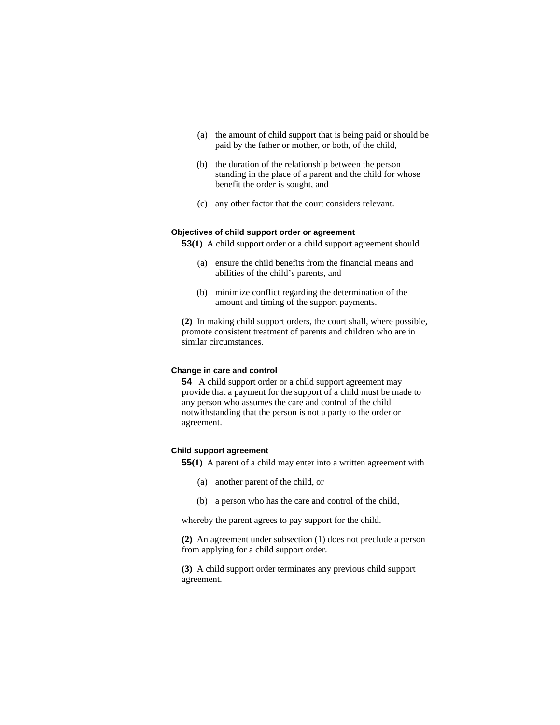- (a) the amount of child support that is being paid or should be paid by the father or mother, or both, of the child,
- (b) the duration of the relationship between the person standing in the place of a parent and the child for whose benefit the order is sought, and
- (c) any other factor that the court considers relevant.

#### **Objectives of child support order or agreement**

**53(1)** A child support order or a child support agreement should

- (a) ensure the child benefits from the financial means and abilities of the child's parents, and
- (b) minimize conflict regarding the determination of the amount and timing of the support payments.

**(2)** In making child support orders, the court shall, where possible, promote consistent treatment of parents and children who are in similar circumstances.

## **Change in care and control**

**54** A child support order or a child support agreement may provide that a payment for the support of a child must be made to any person who assumes the care and control of the child notwithstanding that the person is not a party to the order or agreement.

## **Child support agreement**

**55(1)** A parent of a child may enter into a written agreement with

- (a) another parent of the child, or
- (b) a person who has the care and control of the child,

whereby the parent agrees to pay support for the child.

**(2)** An agreement under subsection (1) does not preclude a person from applying for a child support order.

**(3)** A child support order terminates any previous child support agreement.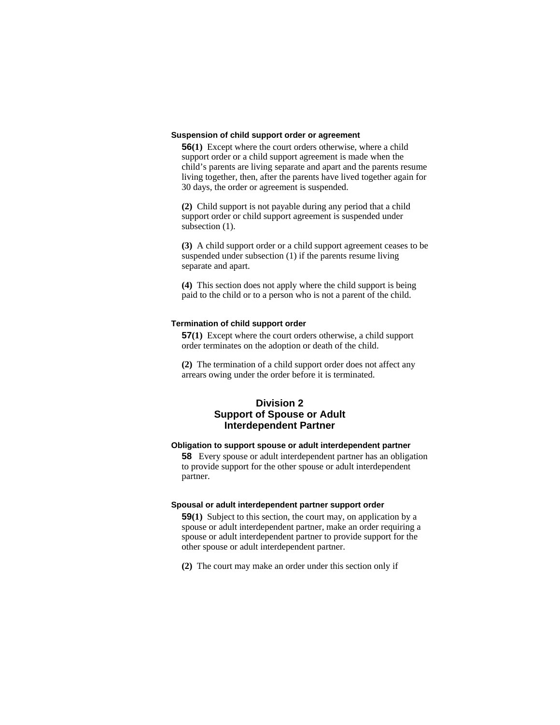#### **Suspension of child support order or agreement**

**56(1)** Except where the court orders otherwise, where a child support order or a child support agreement is made when the child's parents are living separate and apart and the parents resume living together, then, after the parents have lived together again for 30 days, the order or agreement is suspended.

**(2)** Child support is not payable during any period that a child support order or child support agreement is suspended under subsection  $(1)$ .

**(3)** A child support order or a child support agreement ceases to be suspended under subsection (1) if the parents resume living separate and apart.

**(4)** This section does not apply where the child support is being paid to the child or to a person who is not a parent of the child.

### **Termination of child support order**

**57(1)** Except where the court orders otherwise, a child support order terminates on the adoption or death of the child.

**(2)** The termination of a child support order does not affect any arrears owing under the order before it is terminated.

# **Division 2 Support of Spouse or Adult Interdependent Partner**

## **Obligation to support spouse or adult interdependent partner**

**58** Every spouse or adult interdependent partner has an obligation to provide support for the other spouse or adult interdependent partner.

#### **Spousal or adult interdependent partner support order**

**59(1)** Subject to this section, the court may, on application by a spouse or adult interdependent partner, make an order requiring a spouse or adult interdependent partner to provide support for the other spouse or adult interdependent partner.

**(2)** The court may make an order under this section only if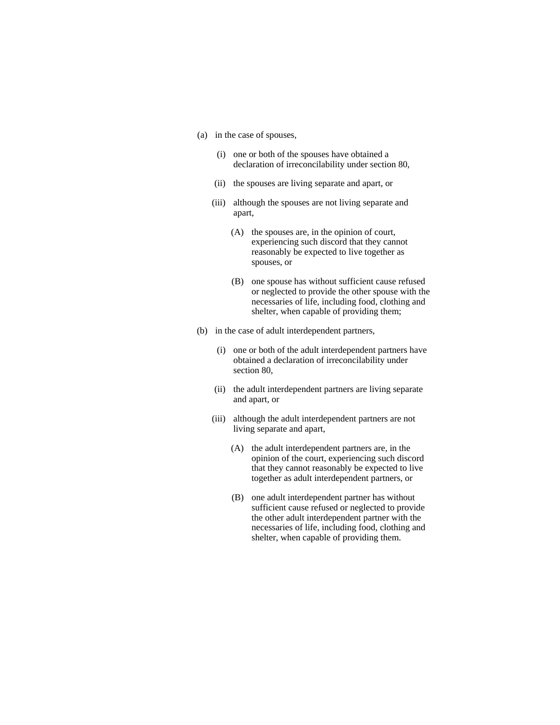- (a) in the case of spouses,
	- (i) one or both of the spouses have obtained a declaration of irreconcilability under section 80,
	- (ii) the spouses are living separate and apart, or
	- (iii) although the spouses are not living separate and apart,
		- (A) the spouses are, in the opinion of court, experiencing such discord that they cannot reasonably be expected to live together as spouses, or
		- (B) one spouse has without sufficient cause refused or neglected to provide the other spouse with the necessaries of life, including food, clothing and shelter, when capable of providing them;
- (b) in the case of adult interdependent partners,
	- (i) one or both of the adult interdependent partners have obtained a declaration of irreconcilability under section 80,
	- (ii) the adult interdependent partners are living separate and apart, or
	- (iii) although the adult interdependent partners are not living separate and apart,
		- (A) the adult interdependent partners are, in the opinion of the court, experiencing such discord that they cannot reasonably be expected to live together as adult interdependent partners, or
		- (B) one adult interdependent partner has without sufficient cause refused or neglected to provide the other adult interdependent partner with the necessaries of life, including food, clothing and shelter, when capable of providing them.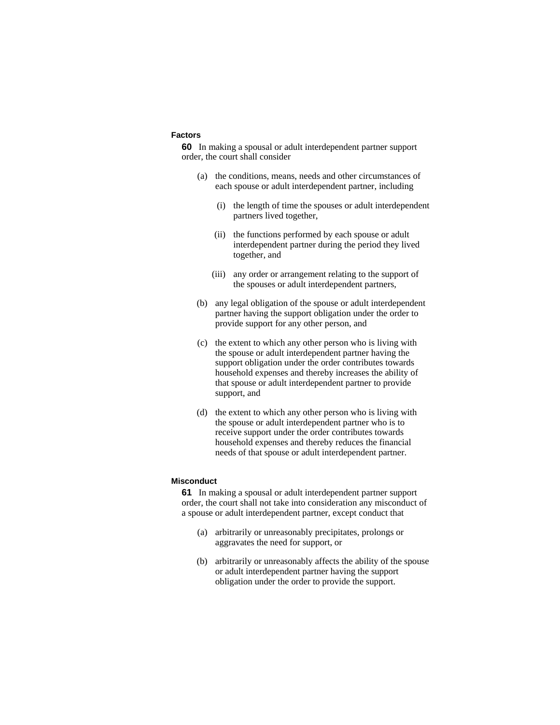### **Factors**

**60** In making a spousal or adult interdependent partner support order, the court shall consider

- (a) the conditions, means, needs and other circumstances of each spouse or adult interdependent partner, including
	- (i) the length of time the spouses or adult interdependent partners lived together,
	- (ii) the functions performed by each spouse or adult interdependent partner during the period they lived together, and
	- (iii) any order or arrangement relating to the support of the spouses or adult interdependent partners,
- (b) any legal obligation of the spouse or adult interdependent partner having the support obligation under the order to provide support for any other person, and
- (c) the extent to which any other person who is living with the spouse or adult interdependent partner having the support obligation under the order contributes towards household expenses and thereby increases the ability of that spouse or adult interdependent partner to provide support, and
- (d) the extent to which any other person who is living with the spouse or adult interdependent partner who is to receive support under the order contributes towards household expenses and thereby reduces the financial needs of that spouse or adult interdependent partner.

## **Misconduct**

**61** In making a spousal or adult interdependent partner support order, the court shall not take into consideration any misconduct of a spouse or adult interdependent partner, except conduct that

- (a) arbitrarily or unreasonably precipitates, prolongs or aggravates the need for support, or
- (b) arbitrarily or unreasonably affects the ability of the spouse or adult interdependent partner having the support obligation under the order to provide the support.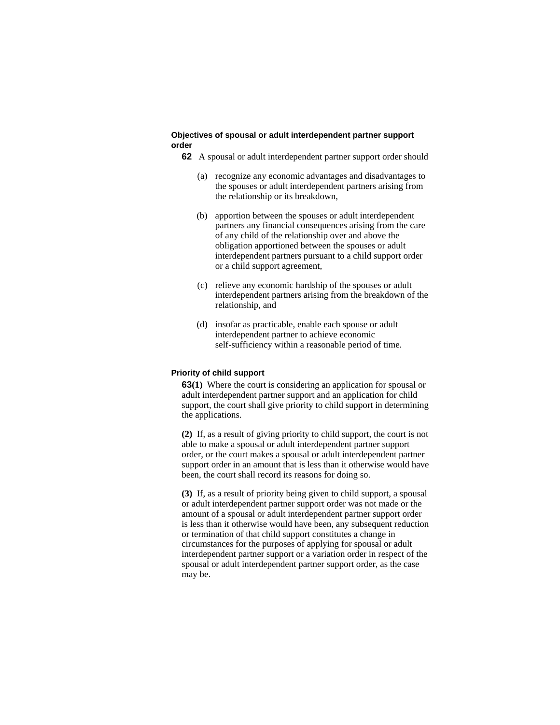### **Objectives of spousal or adult interdependent partner support order**

**62** A spousal or adult interdependent partner support order should

- (a) recognize any economic advantages and disadvantages to the spouses or adult interdependent partners arising from the relationship or its breakdown,
- (b) apportion between the spouses or adult interdependent partners any financial consequences arising from the care of any child of the relationship over and above the obligation apportioned between the spouses or adult interdependent partners pursuant to a child support order or a child support agreement,
- (c) relieve any economic hardship of the spouses or adult interdependent partners arising from the breakdown of the relationship, and
- (d) insofar as practicable, enable each spouse or adult interdependent partner to achieve economic self-sufficiency within a reasonable period of time.

## **Priority of child support**

**63(1)** Where the court is considering an application for spousal or adult interdependent partner support and an application for child support, the court shall give priority to child support in determining the applications.

**(2)** If, as a result of giving priority to child support, the court is not able to make a spousal or adult interdependent partner support order, or the court makes a spousal or adult interdependent partner support order in an amount that is less than it otherwise would have been, the court shall record its reasons for doing so.

**(3)** If, as a result of priority being given to child support, a spousal or adult interdependent partner support order was not made or the amount of a spousal or adult interdependent partner support order is less than it otherwise would have been, any subsequent reduction or termination of that child support constitutes a change in circumstances for the purposes of applying for spousal or adult interdependent partner support or a variation order in respect of the spousal or adult interdependent partner support order, as the case may be.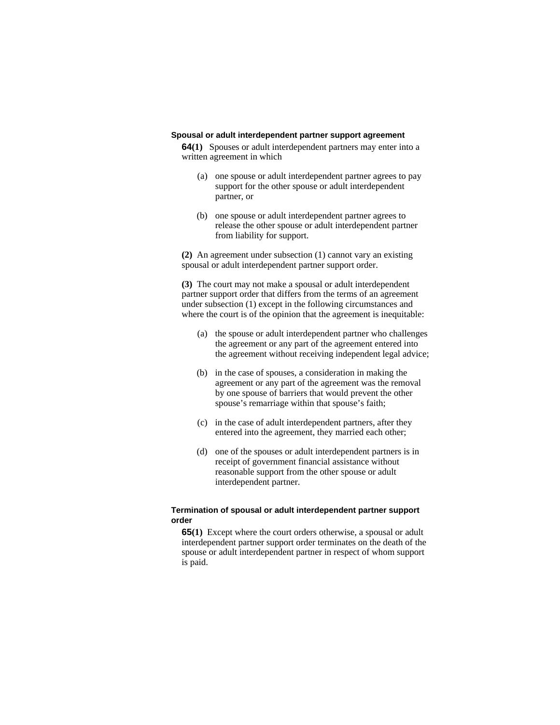#### **Spousal or adult interdependent partner support agreement**

**64(1)** Spouses or adult interdependent partners may enter into a written agreement in which

- (a) one spouse or adult interdependent partner agrees to pay support for the other spouse or adult interdependent partner, or
- (b) one spouse or adult interdependent partner agrees to release the other spouse or adult interdependent partner from liability for support.

**(2)** An agreement under subsection (1) cannot vary an existing spousal or adult interdependent partner support order.

**(3)** The court may not make a spousal or adult interdependent partner support order that differs from the terms of an agreement under subsection (1) except in the following circumstances and where the court is of the opinion that the agreement is inequitable:

- (a) the spouse or adult interdependent partner who challenges the agreement or any part of the agreement entered into the agreement without receiving independent legal advice;
- (b) in the case of spouses, a consideration in making the agreement or any part of the agreement was the removal by one spouse of barriers that would prevent the other spouse's remarriage within that spouse's faith;
- (c) in the case of adult interdependent partners, after they entered into the agreement, they married each other;
- (d) one of the spouses or adult interdependent partners is in receipt of government financial assistance without reasonable support from the other spouse or adult interdependent partner.

## **Termination of spousal or adult interdependent partner support order**

**65(1)** Except where the court orders otherwise, a spousal or adult interdependent partner support order terminates on the death of the spouse or adult interdependent partner in respect of whom support is paid.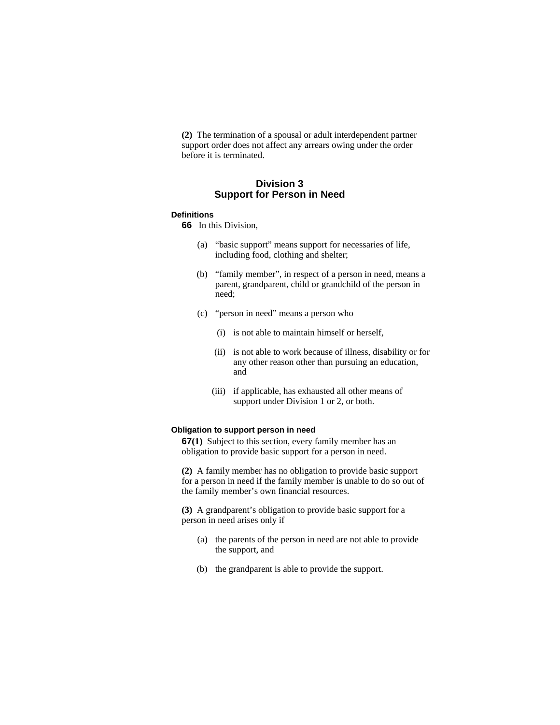**(2)** The termination of a spousal or adult interdependent partner support order does not affect any arrears owing under the order before it is terminated.

# **Division 3 Support for Person in Need**

#### **Definitions**

- **66** In this Division,
	- (a) "basic support" means support for necessaries of life, including food, clothing and shelter;
	- (b) "family member", in respect of a person in need, means a parent, grandparent, child or grandchild of the person in need;
	- (c) "person in need" means a person who
		- (i) is not able to maintain himself or herself,
		- (ii) is not able to work because of illness, disability or for any other reason other than pursuing an education, and
		- (iii) if applicable, has exhausted all other means of support under Division 1 or 2, or both.

## **Obligation to support person in need**

**67(1)** Subject to this section, every family member has an obligation to provide basic support for a person in need.

**(2)** A family member has no obligation to provide basic support for a person in need if the family member is unable to do so out of the family member's own financial resources.

**(3)** A grandparent's obligation to provide basic support for a person in need arises only if

- (a) the parents of the person in need are not able to provide the support, and
- (b) the grandparent is able to provide the support.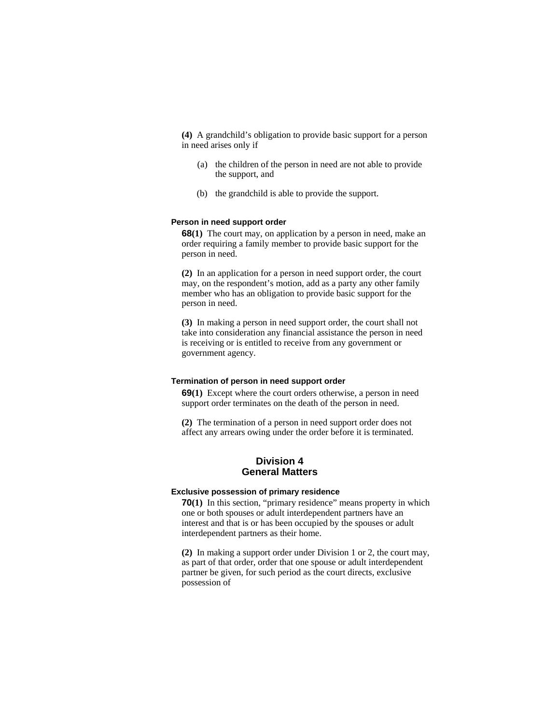**(4)** A grandchild's obligation to provide basic support for a person in need arises only if

- (a) the children of the person in need are not able to provide the support, and
- (b) the grandchild is able to provide the support.

#### **Person in need support order**

**68(1)** The court may, on application by a person in need, make an order requiring a family member to provide basic support for the person in need.

**(2)** In an application for a person in need support order, the court may, on the respondent's motion, add as a party any other family member who has an obligation to provide basic support for the person in need.

**(3)** In making a person in need support order, the court shall not take into consideration any financial assistance the person in need is receiving or is entitled to receive from any government or government agency.

#### **Termination of person in need support order**

**69(1)** Except where the court orders otherwise, a person in need support order terminates on the death of the person in need.

**(2)** The termination of a person in need support order does not affect any arrears owing under the order before it is terminated.

# **Division 4 General Matters**

#### **Exclusive possession of primary residence**

**70(1)** In this section, "primary residence" means property in which one or both spouses or adult interdependent partners have an interest and that is or has been occupied by the spouses or adult interdependent partners as their home.

**(2)** In making a support order under Division 1 or 2, the court may, as part of that order, order that one spouse or adult interdependent partner be given, for such period as the court directs, exclusive possession of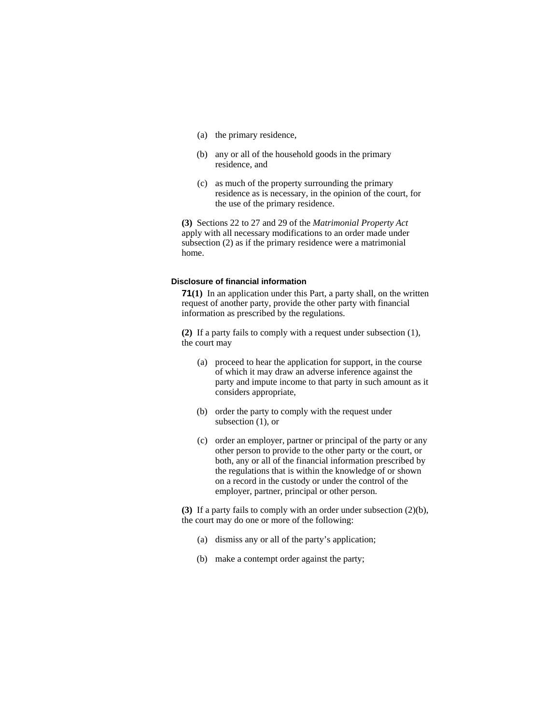- (a) the primary residence,
- (b) any or all of the household goods in the primary residence, and
- (c) as much of the property surrounding the primary residence as is necessary, in the opinion of the court, for the use of the primary residence.

**(3)** Sections 22 to 27 and 29 of the *Matrimonial Property Act* apply with all necessary modifications to an order made under subsection (2) as if the primary residence were a matrimonial home.

## **Disclosure of financial information**

**71(1)** In an application under this Part, a party shall, on the written request of another party, provide the other party with financial information as prescribed by the regulations.

**(2)** If a party fails to comply with a request under subsection (1), the court may

- (a) proceed to hear the application for support, in the course of which it may draw an adverse inference against the party and impute income to that party in such amount as it considers appropriate,
- (b) order the party to comply with the request under subsection (1), or
- (c) order an employer, partner or principal of the party or any other person to provide to the other party or the court, or both, any or all of the financial information prescribed by the regulations that is within the knowledge of or shown on a record in the custody or under the control of the employer, partner, principal or other person.

**(3)** If a party fails to comply with an order under subsection (2)(b), the court may do one or more of the following:

- (a) dismiss any or all of the party's application;
- (b) make a contempt order against the party;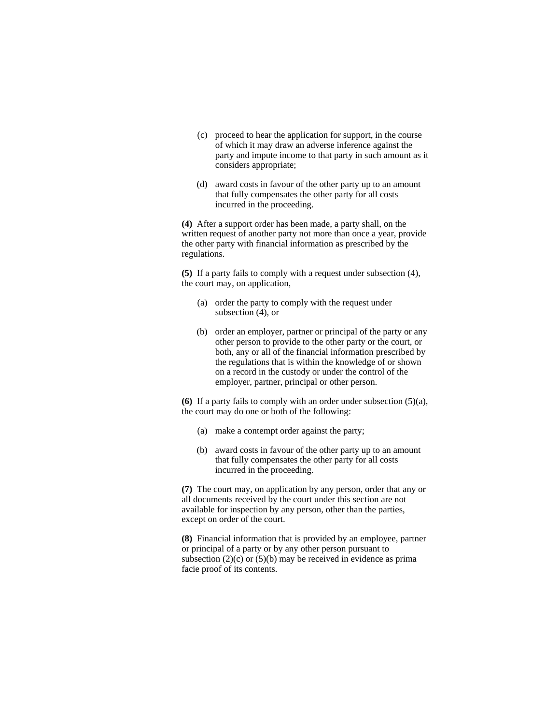- (c) proceed to hear the application for support, in the course of which it may draw an adverse inference against the party and impute income to that party in such amount as it considers appropriate;
- (d) award costs in favour of the other party up to an amount that fully compensates the other party for all costs incurred in the proceeding.

**(4)** After a support order has been made, a party shall, on the written request of another party not more than once a year, provide the other party with financial information as prescribed by the regulations.

**(5)** If a party fails to comply with a request under subsection (4), the court may, on application,

- (a) order the party to comply with the request under subsection (4), or
- (b) order an employer, partner or principal of the party or any other person to provide to the other party or the court, or both, any or all of the financial information prescribed by the regulations that is within the knowledge of or shown on a record in the custody or under the control of the employer, partner, principal or other person.

**(6)** If a party fails to comply with an order under subsection (5)(a), the court may do one or both of the following:

- (a) make a contempt order against the party;
- (b) award costs in favour of the other party up to an amount that fully compensates the other party for all costs incurred in the proceeding.

**(7)** The court may, on application by any person, order that any or all documents received by the court under this section are not available for inspection by any person, other than the parties, except on order of the court.

**(8)** Financial information that is provided by an employee, partner or principal of a party or by any other person pursuant to subsection  $(2)(c)$  or  $(5)(b)$  may be received in evidence as prima facie proof of its contents.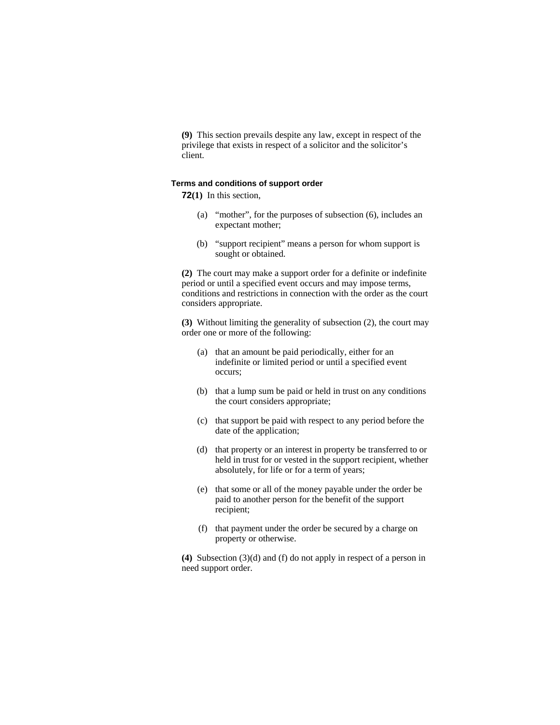**(9)** This section prevails despite any law, except in respect of the privilege that exists in respect of a solicitor and the solicitor's client.

## **Terms and conditions of support order**

**72(1)** In this section,

- (a) "mother", for the purposes of subsection (6), includes an expectant mother;
- (b) "support recipient" means a person for whom support is sought or obtained.

**(2)** The court may make a support order for a definite or indefinite period or until a specified event occurs and may impose terms, conditions and restrictions in connection with the order as the court considers appropriate.

**(3)** Without limiting the generality of subsection (2), the court may order one or more of the following:

- (a) that an amount be paid periodically, either for an indefinite or limited period or until a specified event occurs;
- (b) that a lump sum be paid or held in trust on any conditions the court considers appropriate;
- (c) that support be paid with respect to any period before the date of the application;
- (d) that property or an interest in property be transferred to or held in trust for or vested in the support recipient, whether absolutely, for life or for a term of years;
- (e) that some or all of the money payable under the order be paid to another person for the benefit of the support recipient;
- (f) that payment under the order be secured by a charge on property or otherwise.

**(4)** Subsection (3)(d) and (f) do not apply in respect of a person in need support order.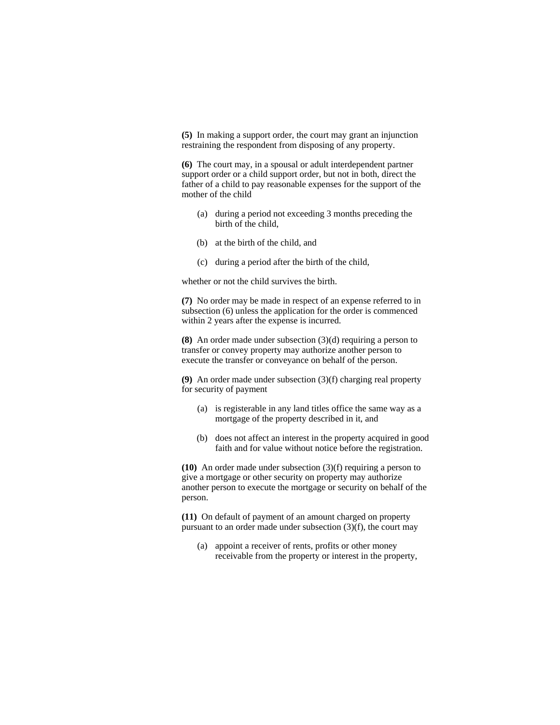**(5)** In making a support order, the court may grant an injunction restraining the respondent from disposing of any property.

**(6)** The court may, in a spousal or adult interdependent partner support order or a child support order, but not in both, direct the father of a child to pay reasonable expenses for the support of the mother of the child

- (a) during a period not exceeding 3 months preceding the birth of the child,
- (b) at the birth of the child, and
- (c) during a period after the birth of the child,

whether or not the child survives the birth.

**(7)** No order may be made in respect of an expense referred to in subsection (6) unless the application for the order is commenced within 2 years after the expense is incurred.

**(8)** An order made under subsection (3)(d) requiring a person to transfer or convey property may authorize another person to execute the transfer or conveyance on behalf of the person.

**(9)** An order made under subsection (3)(f) charging real property for security of payment

- (a) is registerable in any land titles office the same way as a mortgage of the property described in it, and
- (b) does not affect an interest in the property acquired in good faith and for value without notice before the registration.

**(10)** An order made under subsection (3)(f) requiring a person to give a mortgage or other security on property may authorize another person to execute the mortgage or security on behalf of the person.

**(11)** On default of payment of an amount charged on property pursuant to an order made under subsection (3)(f), the court may

 (a) appoint a receiver of rents, profits or other money receivable from the property or interest in the property,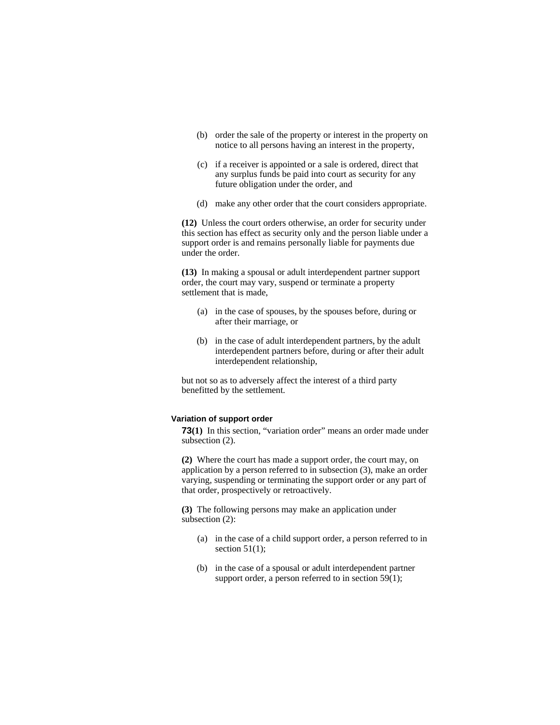- (b) order the sale of the property or interest in the property on notice to all persons having an interest in the property,
- (c) if a receiver is appointed or a sale is ordered, direct that any surplus funds be paid into court as security for any future obligation under the order, and
- (d) make any other order that the court considers appropriate.

**(12)** Unless the court orders otherwise, an order for security under this section has effect as security only and the person liable under a support order is and remains personally liable for payments due under the order.

**(13)** In making a spousal or adult interdependent partner support order, the court may vary, suspend or terminate a property settlement that is made,

- (a) in the case of spouses, by the spouses before, during or after their marriage, or
- (b) in the case of adult interdependent partners, by the adult interdependent partners before, during or after their adult interdependent relationship,

but not so as to adversely affect the interest of a third party benefitted by the settlement.

## **Variation of support order**

**73(1)** In this section, "variation order" means an order made under subsection (2).

**(2)** Where the court has made a support order, the court may, on application by a person referred to in subsection (3), make an order varying, suspending or terminating the support order or any part of that order, prospectively or retroactively.

**(3)** The following persons may make an application under subsection (2):

- (a) in the case of a child support order, a person referred to in section  $51(1)$ ;
- (b) in the case of a spousal or adult interdependent partner support order, a person referred to in section 59(1);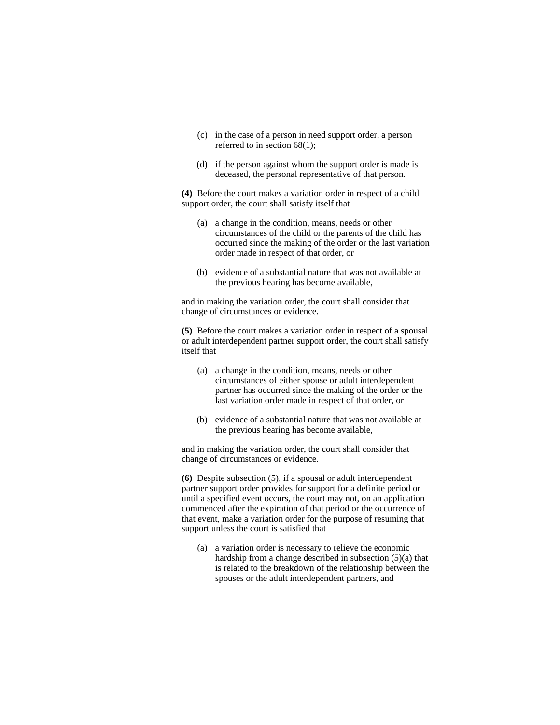- (c) in the case of a person in need support order, a person referred to in section 68(1);
- (d) if the person against whom the support order is made is deceased, the personal representative of that person.

**(4)** Before the court makes a variation order in respect of a child support order, the court shall satisfy itself that

- (a) a change in the condition, means, needs or other circumstances of the child or the parents of the child has occurred since the making of the order or the last variation order made in respect of that order, or
- (b) evidence of a substantial nature that was not available at the previous hearing has become available,

and in making the variation order, the court shall consider that change of circumstances or evidence.

**(5)** Before the court makes a variation order in respect of a spousal or adult interdependent partner support order, the court shall satisfy itself that

- (a) a change in the condition, means, needs or other circumstances of either spouse or adult interdependent partner has occurred since the making of the order or the last variation order made in respect of that order, or
- (b) evidence of a substantial nature that was not available at the previous hearing has become available,

and in making the variation order, the court shall consider that change of circumstances or evidence.

**(6)** Despite subsection (5), if a spousal or adult interdependent partner support order provides for support for a definite period or until a specified event occurs, the court may not, on an application commenced after the expiration of that period or the occurrence of that event, make a variation order for the purpose of resuming that support unless the court is satisfied that

(a) a variation order is necessary to relieve the economic hardship from a change described in subsection (5)(a) that is related to the breakdown of the relationship between the spouses or the adult interdependent partners, and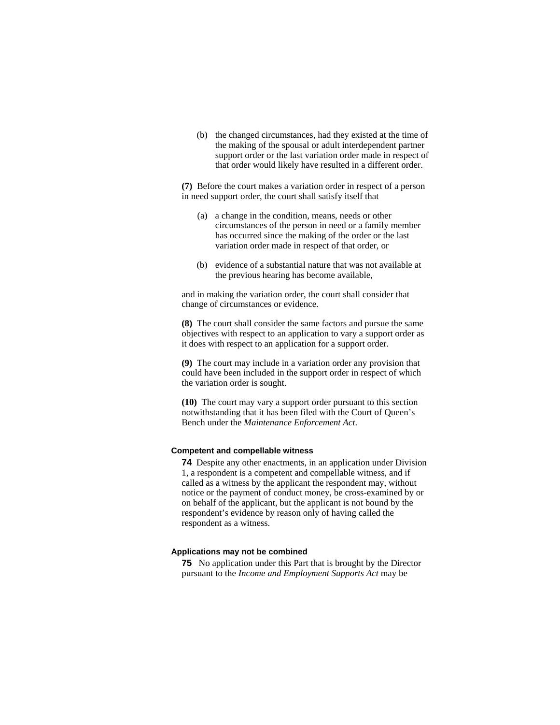(b) the changed circumstances, had they existed at the time of the making of the spousal or adult interdependent partner support order or the last variation order made in respect of that order would likely have resulted in a different order.

**(7)** Before the court makes a variation order in respect of a person in need support order, the court shall satisfy itself that

- (a) a change in the condition, means, needs or other circumstances of the person in need or a family member has occurred since the making of the order or the last variation order made in respect of that order, or
- (b) evidence of a substantial nature that was not available at the previous hearing has become available,

and in making the variation order, the court shall consider that change of circumstances or evidence.

**(8)** The court shall consider the same factors and pursue the same objectives with respect to an application to vary a support order as it does with respect to an application for a support order.

**(9)** The court may include in a variation order any provision that could have been included in the support order in respect of which the variation order is sought.

**(10)** The court may vary a support order pursuant to this section notwithstanding that it has been filed with the Court of Queen's Bench under the *Maintenance Enforcement Act*.

## **Competent and compellable witness**

**74** Despite any other enactments, in an application under Division 1, a respondent is a competent and compellable witness, and if called as a witness by the applicant the respondent may, without notice or the payment of conduct money, be cross-examined by or on behalf of the applicant, but the applicant is not bound by the respondent's evidence by reason only of having called the respondent as a witness.

## **Applications may not be combined**

**75** No application under this Part that is brought by the Director pursuant to the *Income and Employment Supports Act* may be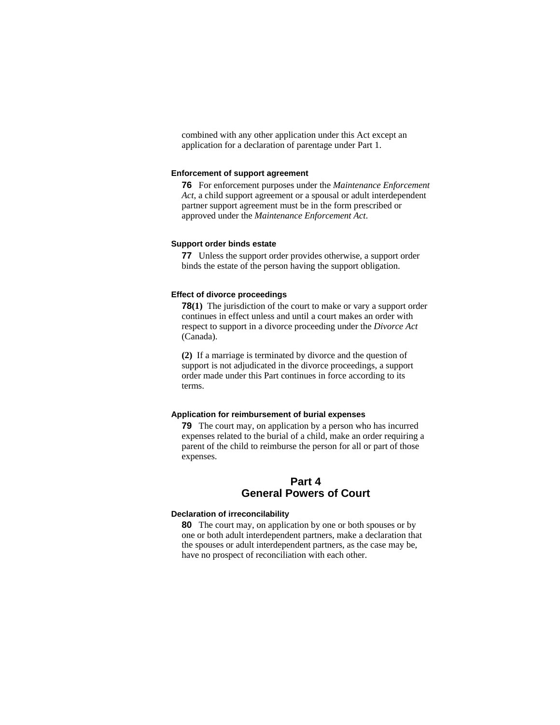combined with any other application under this Act except an application for a declaration of parentage under Part 1.

## **Enforcement of support agreement**

**76** For enforcement purposes under the *Maintenance Enforcement Act*, a child support agreement or a spousal or adult interdependent partner support agreement must be in the form prescribed or approved under the *Maintenance Enforcement Act*.

#### **Support order binds estate**

**77** Unless the support order provides otherwise, a support order binds the estate of the person having the support obligation.

#### **Effect of divorce proceedings**

**78(1)** The jurisdiction of the court to make or vary a support order continues in effect unless and until a court makes an order with respect to support in a divorce proceeding under the *Divorce Act* (Canada).

**(2)** If a marriage is terminated by divorce and the question of support is not adjudicated in the divorce proceedings, a support order made under this Part continues in force according to its terms.

#### **Application for reimbursement of burial expenses**

**79** The court may, on application by a person who has incurred expenses related to the burial of a child, make an order requiring a parent of the child to reimburse the person for all or part of those expenses.

# **Part 4 General Powers of Court**

#### **Declaration of irreconcilability**

**80** The court may, on application by one or both spouses or by one or both adult interdependent partners, make a declaration that the spouses or adult interdependent partners, as the case may be, have no prospect of reconciliation with each other.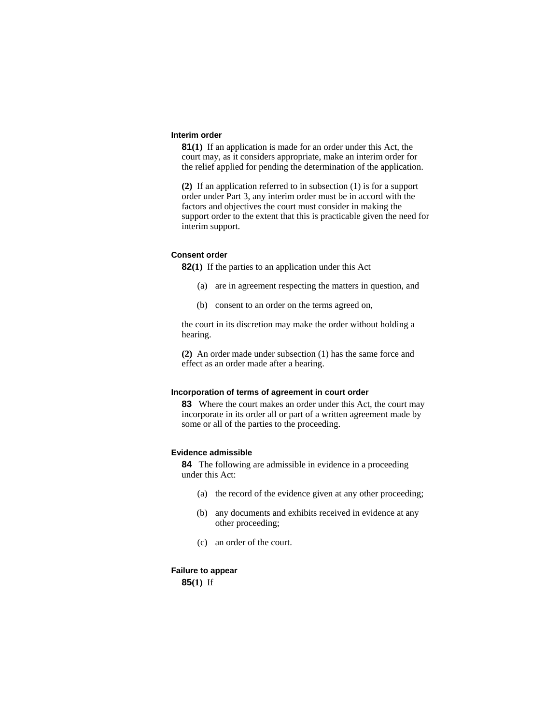### **Interim order**

**81(1)** If an application is made for an order under this Act, the court may, as it considers appropriate, make an interim order for the relief applied for pending the determination of the application.

**(2)** If an application referred to in subsection (1) is for a support order under Part 3, any interim order must be in accord with the factors and objectives the court must consider in making the support order to the extent that this is practicable given the need for interim support.

## **Consent order**

**82(1)** If the parties to an application under this Act

- (a) are in agreement respecting the matters in question, and
- (b) consent to an order on the terms agreed on,

the court in its discretion may make the order without holding a hearing.

**(2)** An order made under subsection (1) has the same force and effect as an order made after a hearing.

## **Incorporation of terms of agreement in court order**

**83** Where the court makes an order under this Act, the court may incorporate in its order all or part of a written agreement made by some or all of the parties to the proceeding.

# **Evidence admissible**

**84** The following are admissible in evidence in a proceeding under this Act:

- (a) the record of the evidence given at any other proceeding;
- (b) any documents and exhibits received in evidence at any other proceeding;
- (c) an order of the court.

#### **Failure to appear**

**85(1)** If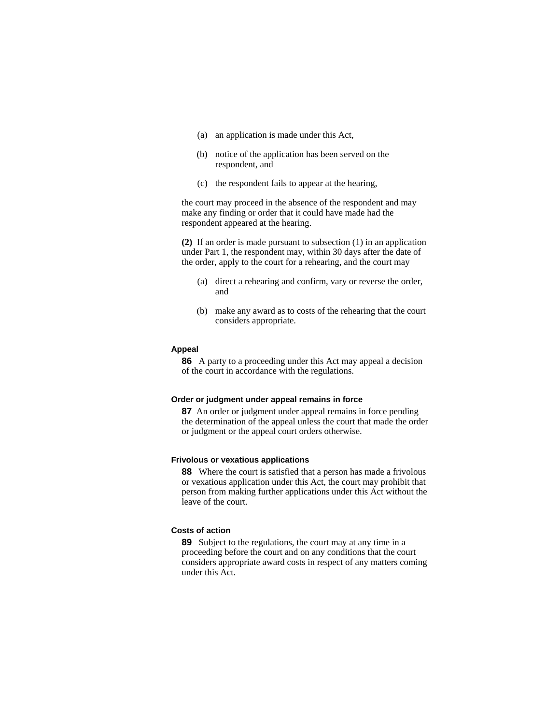- (a) an application is made under this Act,
- (b) notice of the application has been served on the respondent, and
- (c) the respondent fails to appear at the hearing,

the court may proceed in the absence of the respondent and may make any finding or order that it could have made had the respondent appeared at the hearing.

**(2)** If an order is made pursuant to subsection (1) in an application under Part 1, the respondent may, within 30 days after the date of the order, apply to the court for a rehearing, and the court may

- (a) direct a rehearing and confirm, vary or reverse the order, and
- (b) make any award as to costs of the rehearing that the court considers appropriate.

#### **Appeal**

**86** A party to a proceeding under this Act may appeal a decision of the court in accordance with the regulations.

## **Order or judgment under appeal remains in force**

**87** An order or judgment under appeal remains in force pending the determination of the appeal unless the court that made the order or judgment or the appeal court orders otherwise.

## **Frivolous or vexatious applications**

**88** Where the court is satisfied that a person has made a frivolous or vexatious application under this Act, the court may prohibit that person from making further applications under this Act without the leave of the court.

## **Costs of action**

**89** Subject to the regulations, the court may at any time in a proceeding before the court and on any conditions that the court considers appropriate award costs in respect of any matters coming under this Act.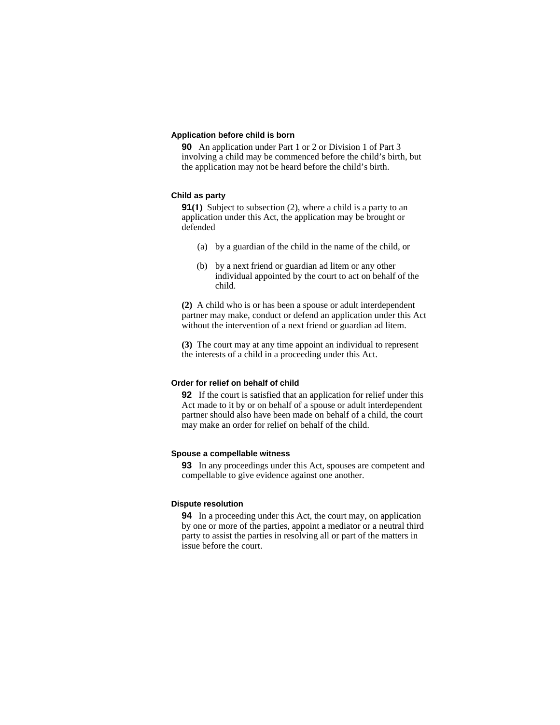## **Application before child is born**

**90** An application under Part 1 or 2 or Division 1 of Part 3 involving a child may be commenced before the child's birth, but the application may not be heard before the child's birth.

## **Child as party**

**91(1)** Subject to subsection (2), where a child is a party to an application under this Act, the application may be brought or defended

- (a) by a guardian of the child in the name of the child, or
- (b) by a next friend or guardian ad litem or any other individual appointed by the court to act on behalf of the child.

**(2)** A child who is or has been a spouse or adult interdependent partner may make, conduct or defend an application under this Act without the intervention of a next friend or guardian ad litem.

**(3)** The court may at any time appoint an individual to represent the interests of a child in a proceeding under this Act.

## **Order for relief on behalf of child**

**92** If the court is satisfied that an application for relief under this Act made to it by or on behalf of a spouse or adult interdependent partner should also have been made on behalf of a child, the court may make an order for relief on behalf of the child.

### **Spouse a compellable witness**

**93** In any proceedings under this Act, spouses are competent and compellable to give evidence against one another.

## **Dispute resolution**

**94** In a proceeding under this Act, the court may, on application by one or more of the parties, appoint a mediator or a neutral third party to assist the parties in resolving all or part of the matters in issue before the court.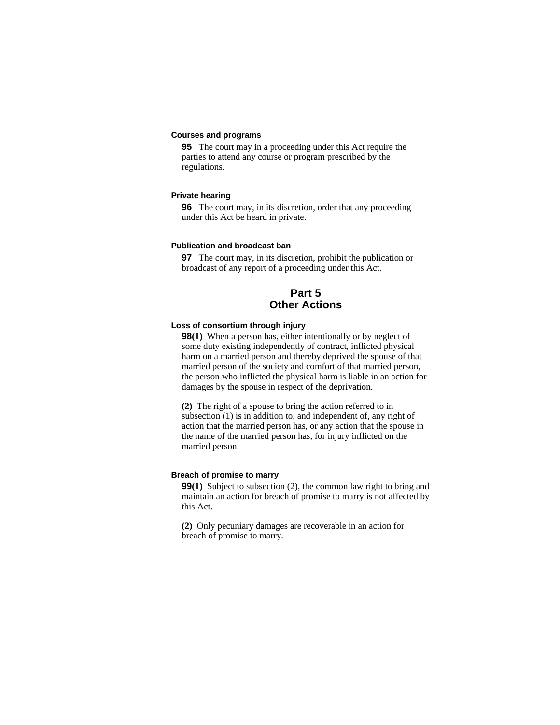## **Courses and programs**

**95** The court may in a proceeding under this Act require the parties to attend any course or program prescribed by the regulations.

## **Private hearing**

**96** The court may, in its discretion, order that any proceeding under this Act be heard in private.

#### **Publication and broadcast ban**

**97** The court may, in its discretion, prohibit the publication or broadcast of any report of a proceeding under this Act.

# **Part 5 Other Actions**

## **Loss of consortium through injury**

**98(1)** When a person has, either intentionally or by neglect of some duty existing independently of contract, inflicted physical harm on a married person and thereby deprived the spouse of that married person of the society and comfort of that married person, the person who inflicted the physical harm is liable in an action for damages by the spouse in respect of the deprivation.

**(2)** The right of a spouse to bring the action referred to in subsection (1) is in addition to, and independent of, any right of action that the married person has, or any action that the spouse in the name of the married person has, for injury inflicted on the married person.

#### **Breach of promise to marry**

**99(1)** Subject to subsection (2), the common law right to bring and maintain an action for breach of promise to marry is not affected by this Act.

**(2)** Only pecuniary damages are recoverable in an action for breach of promise to marry.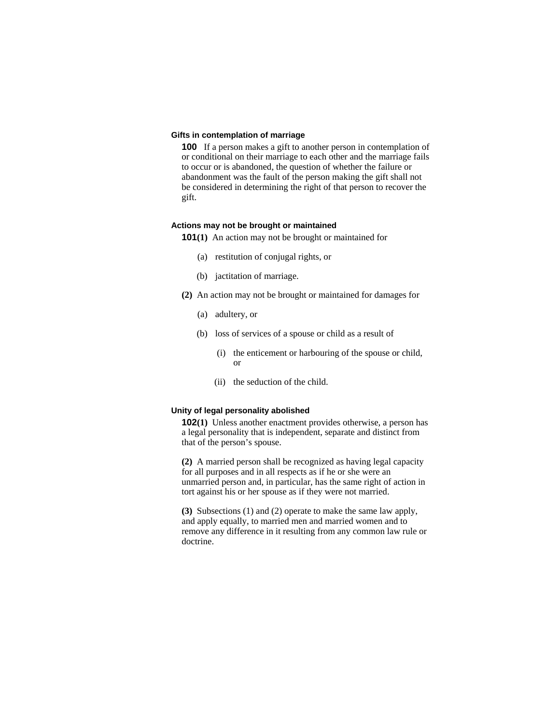## **Gifts in contemplation of marriage**

**100** If a person makes a gift to another person in contemplation of or conditional on their marriage to each other and the marriage fails to occur or is abandoned, the question of whether the failure or abandonment was the fault of the person making the gift shall not be considered in determining the right of that person to recover the gift.

## **Actions may not be brought or maintained**

**101(1)** An action may not be brought or maintained for

- (a) restitution of conjugal rights, or
- (b) jactitation of marriage.
- **(2)** An action may not be brought or maintained for damages for
	- (a) adultery, or
	- (b) loss of services of a spouse or child as a result of
		- (i) the enticement or harbouring of the spouse or child, or
		- (ii) the seduction of the child.

## **Unity of legal personality abolished**

**102(1)** Unless another enactment provides otherwise, a person has a legal personality that is independent, separate and distinct from that of the person's spouse.

**(2)** A married person shall be recognized as having legal capacity for all purposes and in all respects as if he or she were an unmarried person and, in particular, has the same right of action in tort against his or her spouse as if they were not married.

**(3)** Subsections (1) and (2) operate to make the same law apply, and apply equally, to married men and married women and to remove any difference in it resulting from any common law rule or doctrine.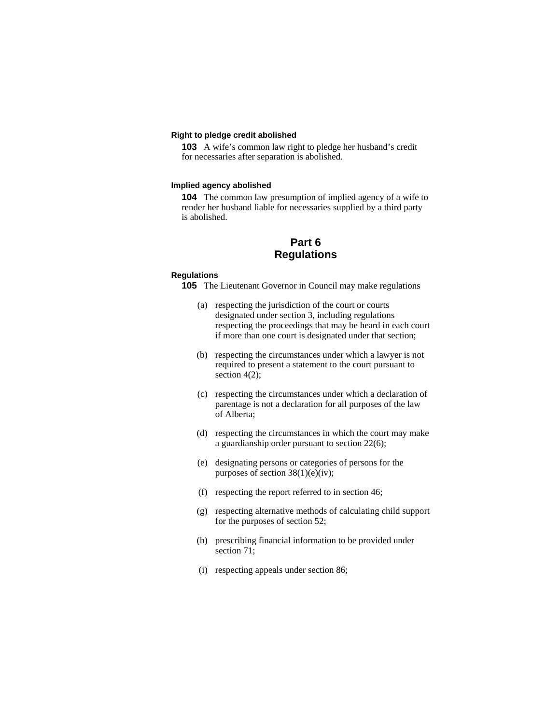## **Right to pledge credit abolished**

**103** A wife's common law right to pledge her husband's credit for necessaries after separation is abolished.

#### **Implied agency abolished**

**104** The common law presumption of implied agency of a wife to render her husband liable for necessaries supplied by a third party is abolished.

# **Part 6 Regulations**

#### **Regulations**

**105** The Lieutenant Governor in Council may make regulations

- (a) respecting the jurisdiction of the court or courts designated under section 3, including regulations respecting the proceedings that may be heard in each court if more than one court is designated under that section;
- (b) respecting the circumstances under which a lawyer is not required to present a statement to the court pursuant to section 4(2);
- (c) respecting the circumstances under which a declaration of parentage is not a declaration for all purposes of the law of Alberta;
- (d) respecting the circumstances in which the court may make a guardianship order pursuant to section 22(6);
- (e) designating persons or categories of persons for the purposes of section 38(1)(e)(iv);
- (f) respecting the report referred to in section 46;
- (g) respecting alternative methods of calculating child support for the purposes of section 52;
- (h) prescribing financial information to be provided under section 71;
- (i) respecting appeals under section 86;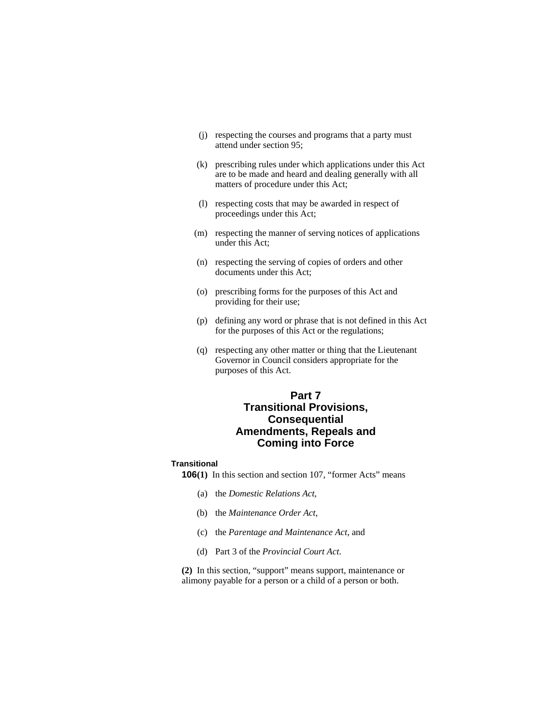- (j) respecting the courses and programs that a party must attend under section 95;
- (k) prescribing rules under which applications under this Act are to be made and heard and dealing generally with all matters of procedure under this Act;
- (l) respecting costs that may be awarded in respect of proceedings under this Act;
- (m) respecting the manner of serving notices of applications under this Act;
- (n) respecting the serving of copies of orders and other documents under this Act;
- (o) prescribing forms for the purposes of this Act and providing for their use;
- (p) defining any word or phrase that is not defined in this Act for the purposes of this Act or the regulations;
- (q) respecting any other matter or thing that the Lieutenant Governor in Council considers appropriate for the purposes of this Act.

# **Part 7 Transitional Provisions, Consequential Amendments, Repeals and Coming into Force**

#### **Transitional**

- **106(1)** In this section and section 107, "former Acts" means
	- (a) the *Domestic Relations Act*,
	- (b) the *Maintenance Order Act*,
	- (c) the *Parentage and Maintenance Act*, and
	- (d) Part 3 of the *Provincial Court Act*.

**(2)** In this section, "support" means support, maintenance or alimony payable for a person or a child of a person or both.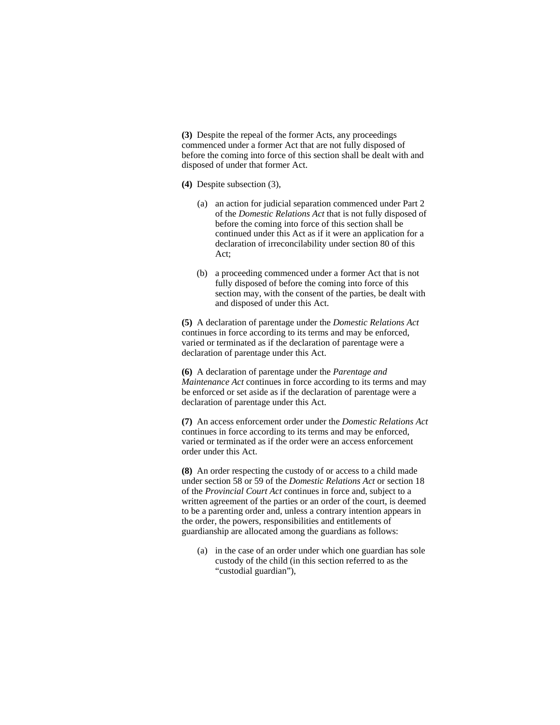**(3)** Despite the repeal of the former Acts, any proceedings commenced under a former Act that are not fully disposed of before the coming into force of this section shall be dealt with and disposed of under that former Act.

**(4)** Despite subsection (3),

- (a) an action for judicial separation commenced under Part 2 of the *Domestic Relations Act* that is not fully disposed of before the coming into force of this section shall be continued under this Act as if it were an application for a declaration of irreconcilability under section 80 of this Act;
- (b) a proceeding commenced under a former Act that is not fully disposed of before the coming into force of this section may, with the consent of the parties, be dealt with and disposed of under this Act.

**(5)** A declaration of parentage under the *Domestic Relations Act* continues in force according to its terms and may be enforced, varied or terminated as if the declaration of parentage were a declaration of parentage under this Act.

**(6)** A declaration of parentage under the *Parentage and Maintenance Act* continues in force according to its terms and may be enforced or set aside as if the declaration of parentage were a declaration of parentage under this Act.

**(7)** An access enforcement order under the *Domestic Relations Act* continues in force according to its terms and may be enforced, varied or terminated as if the order were an access enforcement order under this Act.

**(8)** An order respecting the custody of or access to a child made under section 58 or 59 of the *Domestic Relations Act* or section 18 of the *Provincial Court Act* continues in force and, subject to a written agreement of the parties or an order of the court, is deemed to be a parenting order and, unless a contrary intention appears in the order, the powers, responsibilities and entitlements of guardianship are allocated among the guardians as follows:

(a) in the case of an order under which one guardian has sole custody of the child (in this section referred to as the "custodial guardian"),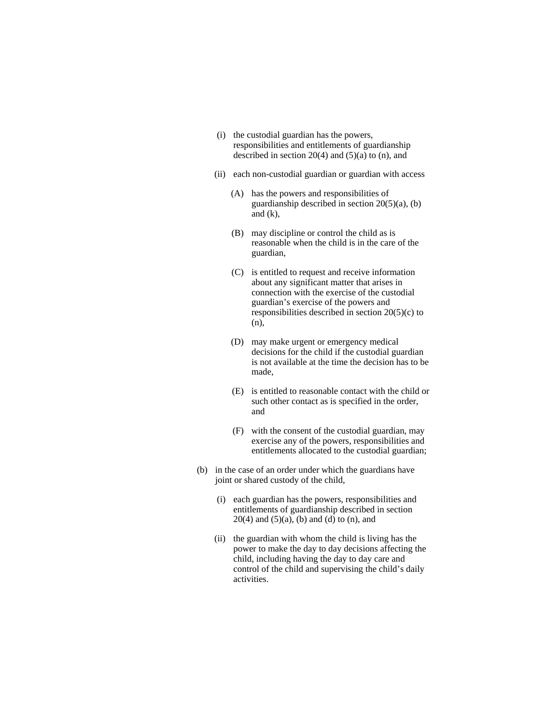- (i) the custodial guardian has the powers, responsibilities and entitlements of guardianship described in section  $20(4)$  and  $(5)(a)$  to  $(n)$ , and
- (ii) each non-custodial guardian or guardian with access
	- (A) has the powers and responsibilities of guardianship described in section 20(5)(a), (b) and  $(k)$ ,
	- (B) may discipline or control the child as is reasonable when the child is in the care of the guardian,
	- (C) is entitled to request and receive information about any significant matter that arises in connection with the exercise of the custodial guardian's exercise of the powers and responsibilities described in section 20(5)(c) to (n),
	- (D) may make urgent or emergency medical decisions for the child if the custodial guardian is not available at the time the decision has to be made,
	- (E) is entitled to reasonable contact with the child or such other contact as is specified in the order, and
	- (F) with the consent of the custodial guardian, may exercise any of the powers, responsibilities and entitlements allocated to the custodial guardian;
- (b) in the case of an order under which the guardians have joint or shared custody of the child,
	- (i) each guardian has the powers, responsibilities and entitlements of guardianship described in section  $20(4)$  and  $(5)(a)$ , (b) and (d) to (n), and
	- (ii) the guardian with whom the child is living has the power to make the day to day decisions affecting the child, including having the day to day care and control of the child and supervising the child's daily activities.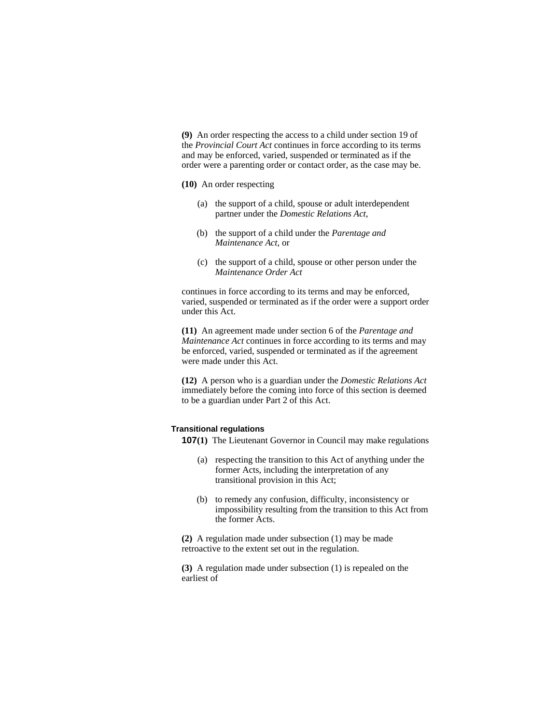**(9)** An order respecting the access to a child under section 19 of the *Provincial Court Act* continues in force according to its terms and may be enforced, varied, suspended or terminated as if the order were a parenting order or contact order, as the case may be.

**(10)** An order respecting

- (a) the support of a child, spouse or adult interdependent partner under the *Domestic Relations Act*,
- (b) the support of a child under the *Parentage and Maintenance Act*, or
- (c) the support of a child, spouse or other person under the *Maintenance Order Act*

continues in force according to its terms and may be enforced, varied, suspended or terminated as if the order were a support order under this Act.

**(11)** An agreement made under section 6 of the *Parentage and Maintenance Act* continues in force according to its terms and may be enforced, varied, suspended or terminated as if the agreement were made under this Act.

**(12)** A person who is a guardian under the *Domestic Relations Act* immediately before the coming into force of this section is deemed to be a guardian under Part 2 of this Act.

#### **Transitional regulations**

**107(1)** The Lieutenant Governor in Council may make regulations

- (a) respecting the transition to this Act of anything under the former Acts, including the interpretation of any transitional provision in this Act;
- (b) to remedy any confusion, difficulty, inconsistency or impossibility resulting from the transition to this Act from the former Acts.

**(2)** A regulation made under subsection (1) may be made retroactive to the extent set out in the regulation.

**(3)** A regulation made under subsection (1) is repealed on the earliest of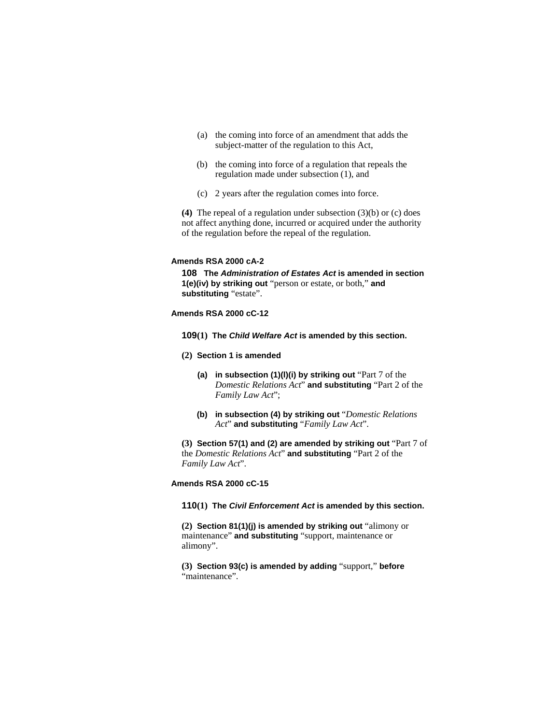- (a) the coming into force of an amendment that adds the subject-matter of the regulation to this Act,
- (b) the coming into force of a regulation that repeals the regulation made under subsection (1), and
- (c) 2 years after the regulation comes into force.

**(4)** The repeal of a regulation under subsection (3)(b) or (c) does not affect anything done, incurred or acquired under the authority of the regulation before the repeal of the regulation.

## **Amends RSA 2000 cA-2**

**108 The** *Administration of Estates Act* **is amended in section 1(e)(iv) by striking out** "person or estate, or both," **and substituting** "estate".

# **Amends RSA 2000 cC-12**

- **109(1) The** *Child Welfare Act* **is amended by this section.**
- **(2) Section 1 is amended** 
	- **(a) in subsection (1)(l)(i) by striking out** "Part 7 of the *Domestic Relations Act*" **and substituting** "Part 2 of the *Family Law Act*";
	- **(b) in subsection (4) by striking out** "*Domestic Relations Act*" **and substituting** "*Family Law Act*".

**(3) Section 57(1) and (2) are amended by striking out** "Part 7 of the *Domestic Relations Act*" **and substituting** "Part 2 of the *Family Law Act*".

## **Amends RSA 2000 cC-15**

**110(1) The** *Civil Enforcement Act* **is amended by this section.**

**(2) Section 81(1)(j) is amended by striking out** "alimony or maintenance" **and substituting** "support, maintenance or alimony".

**(3) Section 93(c) is amended by adding** "support," **before**  "maintenance".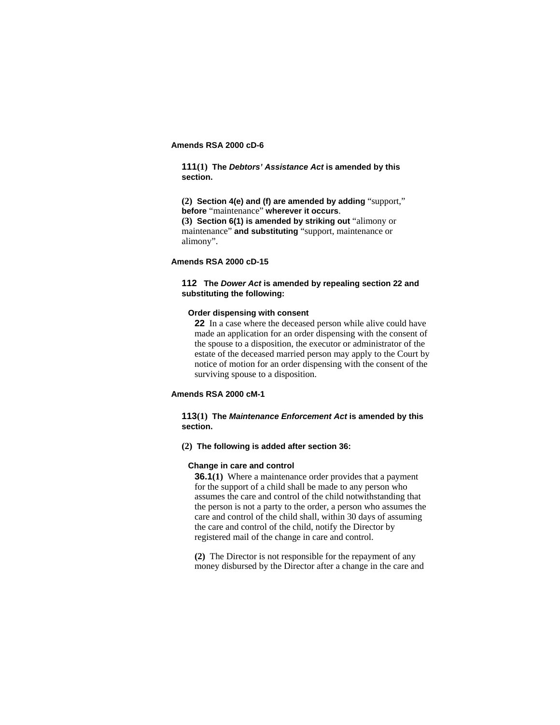## **Amends RSA 2000 cD-6**

**111(1) The** *Debtors' Assistance Act* **is amended by this section.**

**(2) Section 4(e) and (f) are amended by adding** "support," **before** "maintenance" **wherever it occurs**. **(3) Section 6(1) is amended by striking out** "alimony or maintenance" **and substituting** "support, maintenance or alimony".

## **Amends RSA 2000 cD-15**

## **112 The** *Dower Act* **is amended by repealing section 22 and substituting the following:**

#### **Order dispensing with consent**

**22** In a case where the deceased person while alive could have made an application for an order dispensing with the consent of the spouse to a disposition, the executor or administrator of the estate of the deceased married person may apply to the Court by notice of motion for an order dispensing with the consent of the surviving spouse to a disposition.

#### **Amends RSA 2000 cM-1**

## **113(1) The** *Maintenance Enforcement Act* **is amended by this section.**

#### **(2) The following is added after section 36:**

#### **Change in care and control**

**36.1(1)** Where a maintenance order provides that a payment for the support of a child shall be made to any person who assumes the care and control of the child notwithstanding that the person is not a party to the order, a person who assumes the care and control of the child shall, within 30 days of assuming the care and control of the child, notify the Director by registered mail of the change in care and control.

**(2)** The Director is not responsible for the repayment of any money disbursed by the Director after a change in the care and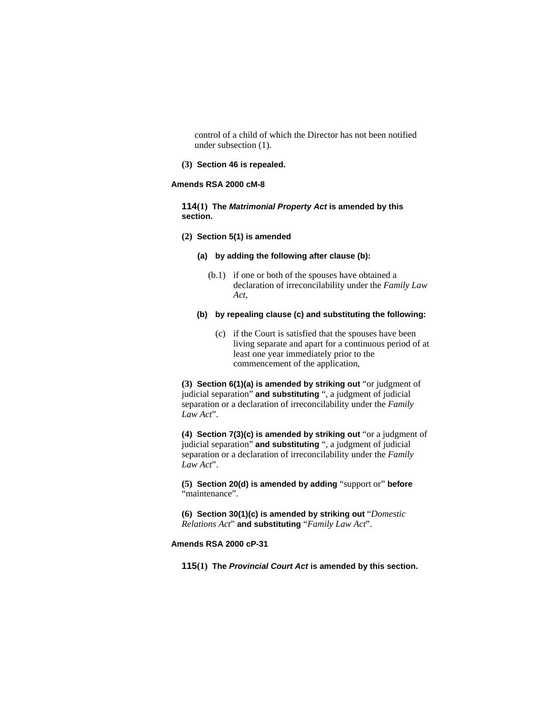control of a child of which the Director has not been notified under subsection (1).

## **(3) Section 46 is repealed.**

#### **Amends RSA 2000 cM-8**

**114(1) The** *Matrimonial Property Act* **is amended by this section.**

## **(2) Section 5(1) is amended**

- **(a) by adding the following after clause (b):** 
	- (b.1) if one or both of the spouses have obtained a declaration of irreconcilability under the *Family Law Act*,

## **(b) by repealing clause (c) and substituting the following:**

(c) if the Court is satisfied that the spouses have been living separate and apart for a continuous period of at least one year immediately prior to the commencement of the application,

**(3) Section 6(1)(a) is amended by striking out** "or judgment of judicial separation" **and substituting** ", a judgment of judicial separation or a declaration of irreconcilability under the *Family Law Act*".

**(4) Section 7(3)(c) is amended by striking out** "or a judgment of judicial separation" **and substituting** ", a judgment of judicial separation or a declaration of irreconcilability under the *Family Law Act*".

**(5) Section 20(d) is amended by adding** "support or" **before**  "maintenance".

**(6) Section 30(1)(c) is amended by striking out** "*Domestic Relations Act*" **and substituting** "*Family Law Act*".

# **Amends RSA 2000 cP-31**

**115(1) The** *Provincial Court Act* **is amended by this section.**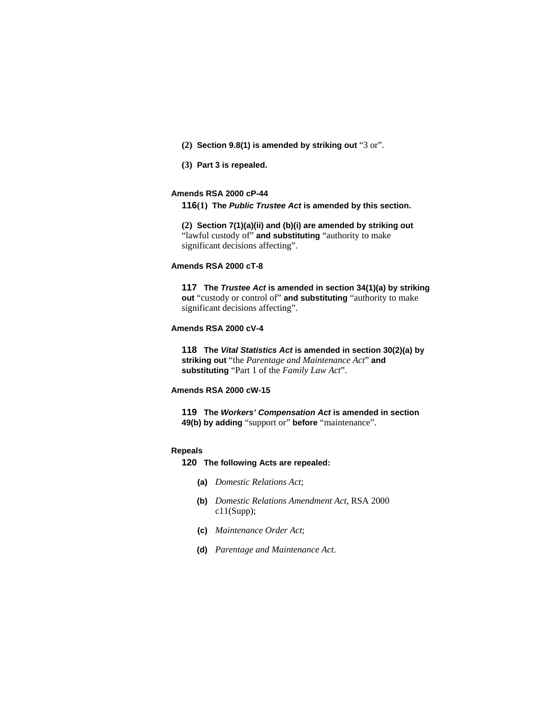**(2) Section 9.8(1) is amended by striking out** "3 or".

**(3) Part 3 is repealed.**

#### **Amends RSA 2000 cP-44**

**116(1) The** *Public Trustee Act* **is amended by this section.**

**(2) Section 7(1)(a)(ii) and (b)(i) are amended by striking out**  "lawful custody of" **and substituting** "authority to make significant decisions affecting".

## **Amends RSA 2000 cT-8**

**117 The** *Trustee Act* **is amended in section 34(1)(a) by striking out** "custody or control of" **and substituting** "authority to make significant decisions affecting".

## **Amends RSA 2000 cV-4**

**118 The** *Vital Statistics Act* **is amended in section 30(2)(a) by striking out** "the *Parentage and Maintenance Act*" **and substituting** "Part 1 of the *Family Law Act*".

## **Amends RSA 2000 cW-15**

**119 The** *Workers' Compensation Act* **is amended in section 49(b) by adding** "support or" **before** "maintenance".

#### **Repeals**

**120 The following Acts are repealed:**

- **(a)** *Domestic Relations Act*;
- **(b)** *Domestic Relations Amendment Act*, RSA 2000 c11(Supp);
- **(c)** *Maintenance Order Act*;
- **(d)** *Parentage and Maintenance Act*.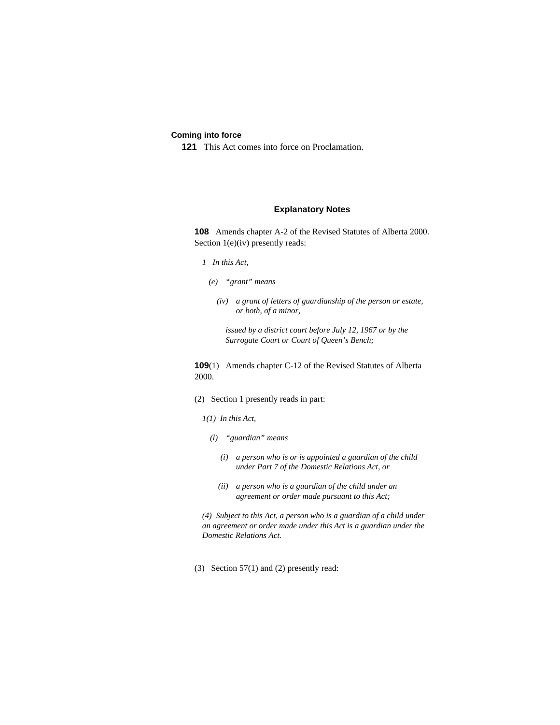## **Coming into force**

**121** This Act comes into force on Proclamation.

## **Explanatory Notes**

**108** Amends chapter A-2 of the Revised Statutes of Alberta 2000. Section 1(e)(iv) presently reads:

- *1 In this Act,*
- *(e) "grant" means* 
	- *(iv) a grant of letters of guardianship of the person or estate, or both, of a minor,*

 *issued by a district court before July 12, 1967 or by the Surrogate Court or Court of Queen's Bench;* 

**109**(1) Amends chapter C-12 of the Revised Statutes of Alberta 2000.

- (2) Section 1 presently reads in part:
	- *1(1) In this Act,* 
		- *(l) "guardian" means* 
			- *(i) a person who is or is appointed a guardian of the child under Part 7 of the Domestic Relations Act, or*
			- *(ii) a person who is a guardian of the child under an agreement or order made pursuant to this Act;*

*(4) Subject to this Act, a person who is a guardian of a child under an agreement or order made under this Act is a guardian under the Domestic Relations Act.* 

(3) Section 57(1) and (2) presently read: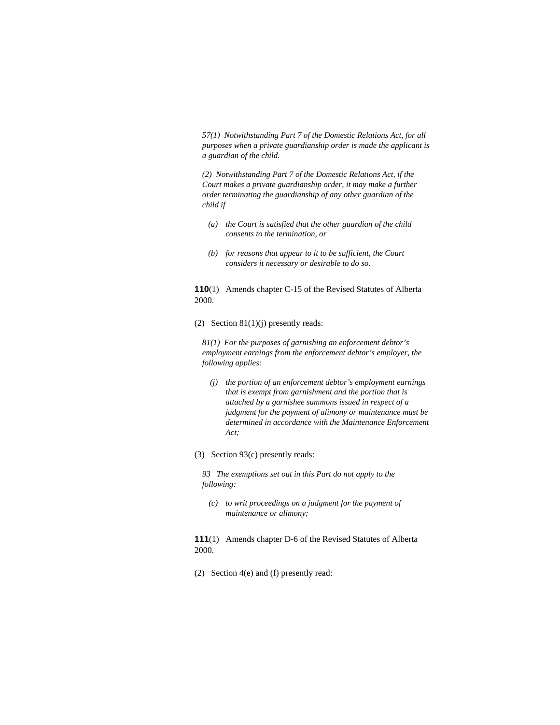*57(1) Notwithstanding Part 7 of the Domestic Relations Act, for all purposes when a private guardianship order is made the applicant is a guardian of the child.* 

*(2) Notwithstanding Part 7 of the Domestic Relations Act, if the Court makes a private guardianship order, it may make a further order terminating the guardianship of any other guardian of the child if* 

- *(a) the Court is satisfied that the other guardian of the child consents to the termination, or*
- *(b) for reasons that appear to it to be sufficient, the Court considers it necessary or desirable to do so.*

**110**(1) Amends chapter C-15 of the Revised Statutes of Alberta 2000.

(2) Section  $81(1)(j)$  presently reads:

*81(1) For the purposes of garnishing an enforcement debtor's employment earnings from the enforcement debtor's employer, the following applies:* 

- *(j) the portion of an enforcement debtor's employment earnings that is exempt from garnishment and the portion that is attached by a garnishee summons issued in respect of a judgment for the payment of alimony or maintenance must be determined in accordance with the Maintenance Enforcement Act;*
- (3) Section 93(c) presently reads:

*93 The exemptions set out in this Part do not apply to the following:* 

 *(c) to writ proceedings on a judgment for the payment of maintenance or alimony;* 

**111**(1) Amends chapter D-6 of the Revised Statutes of Alberta 2000.

(2) Section 4(e) and (f) presently read: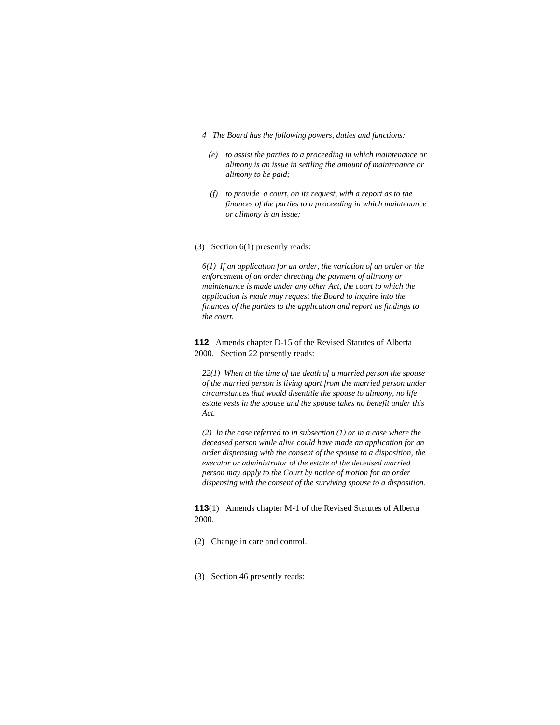- *4 The Board has the following powers, duties and functions:*
- *(e) to assist the parties to a proceeding in which maintenance or alimony is an issue in settling the amount of maintenance or alimony to be paid;*
- *(f) to provide a court, on its request, with a report as to the finances of the parties to a proceeding in which maintenance or alimony is an issue;*
- (3) Section 6(1) presently reads:

*6(1) If an application for an order, the variation of an order or the enforcement of an order directing the payment of alimony or maintenance is made under any other Act, the court to which the application is made may request the Board to inquire into the finances of the parties to the application and report its findings to the court.* 

**112** Amends chapter D-15 of the Revised Statutes of Alberta 2000. Section 22 presently reads:

*22(1) When at the time of the death of a married person the spouse of the married person is living apart from the married person under circumstances that would disentitle the spouse to alimony, no life estate vests in the spouse and the spouse takes no benefit under this Act.* 

*(2) In the case referred to in subsection (1) or in a case where the deceased person while alive could have made an application for an order dispensing with the consent of the spouse to a disposition, the executor or administrator of the estate of the deceased married person may apply to the Court by notice of motion for an order dispensing with the consent of the surviving spouse to a disposition.* 

**113**(1) Amends chapter M-1 of the Revised Statutes of Alberta 2000.

(2) Change in care and control.

(3) Section 46 presently reads: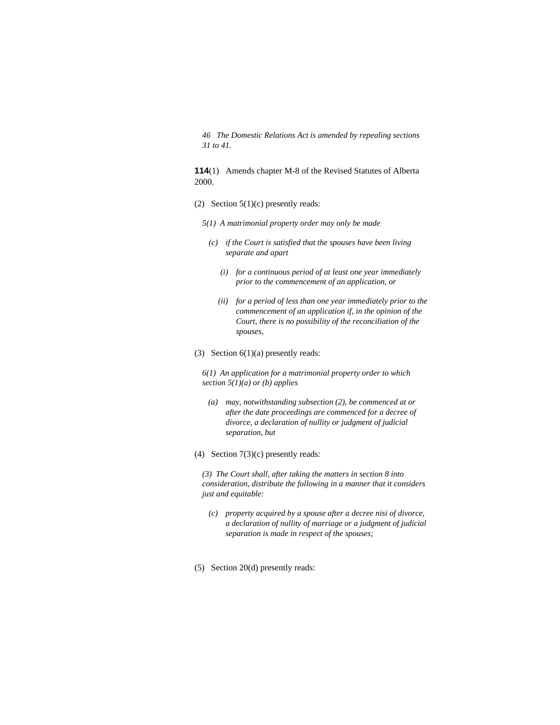*46 The Domestic Relations Act is amended by repealing sections 31 to 41.* 

## **114**(1) Amends chapter M-8 of the Revised Statutes of Alberta 2000.

- (2) Section 5(1)(c) presently reads:
	- *5(1) A matrimonial property order may only be made*
	- *(c) if the Court is satisfied that the spouses have been living separate and apart* 
		- *(i) for a continuous period of at least one year immediately prior to the commencement of an application, or*
		- *(ii) for a period of less than one year immediately prior to the commencement of an application if, in the opinion of the Court, there is no possibility of the reconciliation of the spouses,*
- (3) Section  $6(1)(a)$  presently reads:

*6(1) An application for a matrimonial property order to which section 5(1)(a) or (b) applies* 

- *(a) may, notwithstanding subsection (2), be commenced at or after the date proceedings are commenced for a decree of divorce, a declaration of nullity or judgment of judicial separation, but*
- (4) Section 7(3)(c) presently reads:

*(3) The Court shall, after taking the matters in section 8 into consideration, distribute the following in a manner that it considers just and equitable:* 

- *(c) property acquired by a spouse after a decree nisi of divorce, a declaration of nullity of marriage or a judgment of judicial separation is made in respect of the spouses;*
- (5) Section 20(d) presently reads: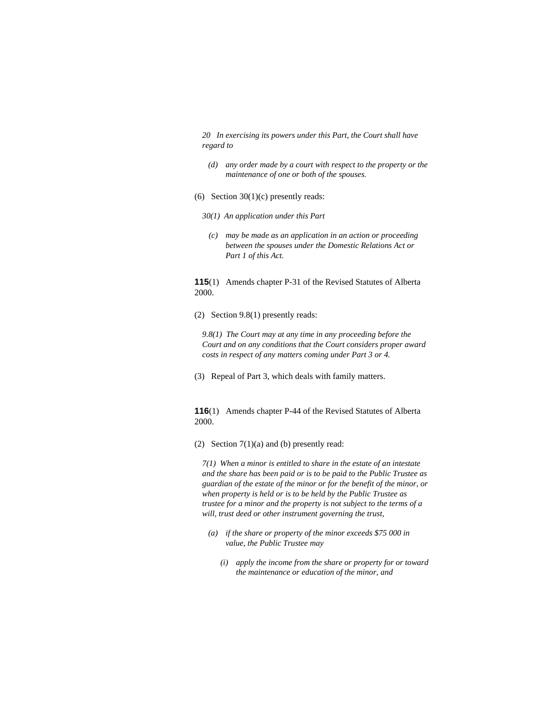*20 In exercising its powers under this Part, the Court shall have regard to* 

- *(d) any order made by a court with respect to the property or the maintenance of one or both of the spouses.*
- (6) Section  $30(1)(c)$  presently reads:
	- *30(1) An application under this Part*
	- *(c) may be made as an application in an action or proceeding between the spouses under the Domestic Relations Act or Part 1 of this Act.*

**115**(1) Amends chapter P-31 of the Revised Statutes of Alberta 2000.

(2) Section 9.8(1) presently reads:

*9.8(1) The Court may at any time in any proceeding before the Court and on any conditions that the Court considers proper award costs in respect of any matters coming under Part 3 or 4.* 

(3) Repeal of Part 3, which deals with family matters.

**116**(1) Amends chapter P-44 of the Revised Statutes of Alberta 2000.

(2) Section  $7(1)(a)$  and (b) presently read:

*7(1) When a minor is entitled to share in the estate of an intestate and the share has been paid or is to be paid to the Public Trustee as guardian of the estate of the minor or for the benefit of the minor, or when property is held or is to be held by the Public Trustee as trustee for a minor and the property is not subject to the terms of a will, trust deed or other instrument governing the trust,* 

- *(a) if the share or property of the minor exceeds \$75 000 in value, the Public Trustee may* 
	- *(i) apply the income from the share or property for or toward the maintenance or education of the minor, and*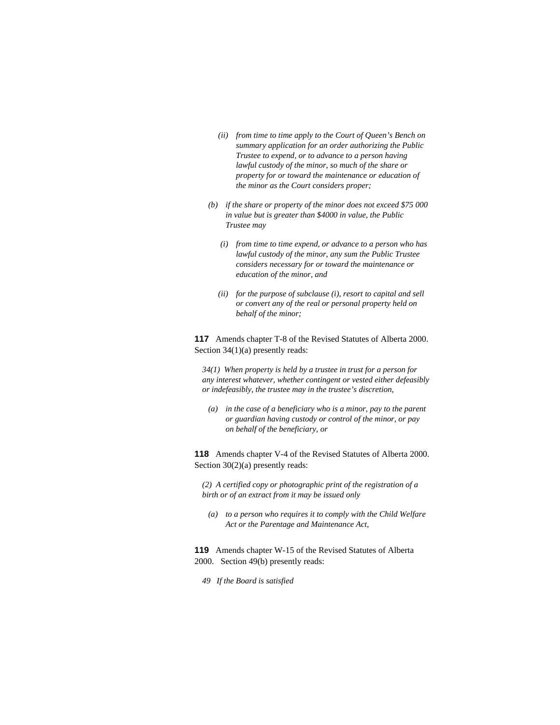- *(ii) from time to time apply to the Court of Queen's Bench on summary application for an order authorizing the Public Trustee to expend, or to advance to a person having lawful custody of the minor, so much of the share or property for or toward the maintenance or education of the minor as the Court considers proper;*
- *(b) if the share or property of the minor does not exceed \$75 000 in value but is greater than \$4000 in value, the Public Trustee may* 
	- *(i) from time to time expend, or advance to a person who has lawful custody of the minor, any sum the Public Trustee considers necessary for or toward the maintenance or education of the minor, and*
	- *(ii) for the purpose of subclause (i), resort to capital and sell or convert any of the real or personal property held on behalf of the minor;*

**117** Amends chapter T-8 of the Revised Statutes of Alberta 2000. Section 34(1)(a) presently reads:

*34(1) When property is held by a trustee in trust for a person for any interest whatever, whether contingent or vested either defeasibly or indefeasibly, the trustee may in the trustee's discretion,* 

 *(a) in the case of a beneficiary who is a minor, pay to the parent or guardian having custody or control of the minor, or pay on behalf of the beneficiary, or* 

**118** Amends chapter V-4 of the Revised Statutes of Alberta 2000. Section 30(2)(a) presently reads:

*(2) A certified copy or photographic print of the registration of a birth or of an extract from it may be issued only* 

 *(a) to a person who requires it to comply with the Child Welfare Act or the Parentage and Maintenance Act,* 

**119** Amends chapter W-15 of the Revised Statutes of Alberta 2000. Section 49(b) presently reads:

*49 If the Board is satisfied*